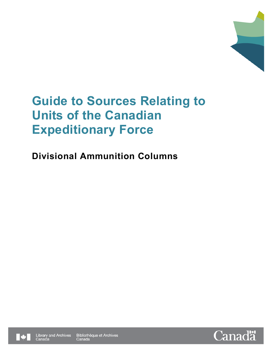

# **Guide to Sources Relating to Units of the Canadian Expeditionary Force**

# **Divisional Ammunition Columns**





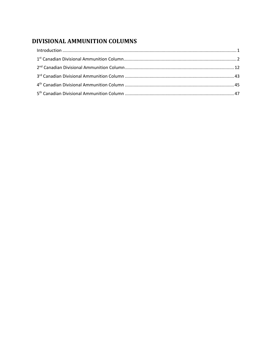# DIVISIONAL AMMUNITION COLUMNS

| $\label{eq:1} \mbox{Introduction} \,\, \ldots \,\, \ldots \,\, \ldots \,\, \ldots \,\, \ldots \,\, \ldots \,\, \ldots \,\, \ldots \,\, \ldots \,\, \ldots \,\, \ldots \,\, \ldots \,\, \ldots \,\, \ldots \,\, \ldots \,\, \ldots \,\, \ldots \,\, \ldots \,\, \ldots \,\, \ldots \,\, \ldots \,\, \ldots \,\, \ldots \,\, \ldots \,\, \ldots \,\, \ldots \,\, \ldots \,\, \ldots \,\, \ldots \,\, \ldots \,\, \ldots \,\, \ldots \,\, \ldots \,\, \ldots \,\,$ |  |
|-----------------------------------------------------------------------------------------------------------------------------------------------------------------------------------------------------------------------------------------------------------------------------------------------------------------------------------------------------------------------------------------------------------------------------------------------------------------|--|
|                                                                                                                                                                                                                                                                                                                                                                                                                                                                 |  |
|                                                                                                                                                                                                                                                                                                                                                                                                                                                                 |  |
|                                                                                                                                                                                                                                                                                                                                                                                                                                                                 |  |
|                                                                                                                                                                                                                                                                                                                                                                                                                                                                 |  |
|                                                                                                                                                                                                                                                                                                                                                                                                                                                                 |  |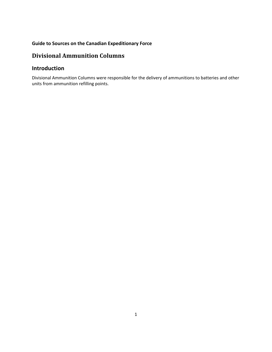# **Divisional Ammunition Columns**

# <span id="page-2-0"></span>**Introduction**

Divisional Ammunition Columns were responsible for the delivery of ammunitions to batteries and other units from ammunition refilling points.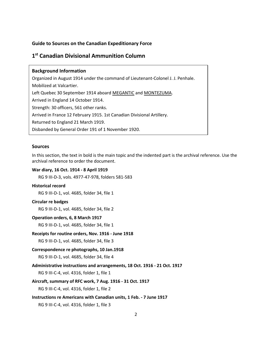# <span id="page-3-0"></span>**1 st Canadian Divisional Ammunition Column**

# **Background Information** Organized in August 1914 under the command of Lieutenant-Colonel J. J. Penhale. Mobilized at Valcartier. Left Quebec 30 September 1914 aboard MEGANTIC and MONTEZUMA. Arrived in England 14 October 1914. Strength: 30 officers, 561 other ranks. Arrived in France 12 February 1915. 1st Canadian Divisional Artillery. Returned to England 21 March 1919. Disbanded by General Order 191 of 1 November 1920.

## **Sources**

In this section, the text in bold is the main topic and the indented part is the archival reference. Use the archival reference to order the document.

#### **War diary, 16 Oct. 1914 - 8 April 1919**

RG 9 III-D-3, vols. 4977-47-978, folders 581-583

# **Historical record**

RG 9 III-D-1, vol. 4685, folder 34, file 1

#### **Circular re badges**

RG 9 III-D-1, vol. 4685, folder 34, file 2

## **Operation orders, 6, 8 March 1917**

RG 9 III-D-1, vol. 4685, folder 34, file 1

**Receipts for routine orders, Nov. 1916 - June 1918**

RG 9 III-D-1, vol. 4685, folder 34, file 3

#### **Correspondence re photographs, 10 Jan.1918**

RG 9 III-D-1, vol. 4685, folder 34, file 4

# **Administrative instructions and arrangements, 18 Oct. 1916 - 21 Oct. 1917**

RG 9 III-C-4, vol. 4316, folder 1, file 1

# **Aircraft, summary of RFC work, 7 Aug. 1916 - 31 Oct. 1917**

RG 9 III-C-4, vol. 4316, folder 1, file 2

### **Instructions re Americans with Canadian units, 1 Feb. - 7 June 1917**

RG 9 III-C-4, vol. 4316, folder 1, file 3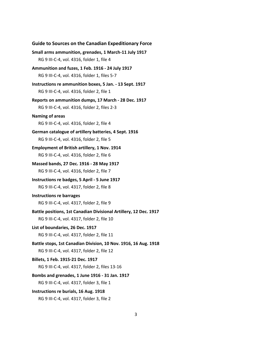| <b>Guide to Sources on the Canadian Expeditionary Force</b>       |
|-------------------------------------------------------------------|
| Small arms ammunition, grenades, 1 March-11 July 1917             |
| RG 9 III-C-4, vol. 4316, folder 1, file 4                         |
| Ammunition and fuzes, 1 Feb. 1916 - 24 July 1917                  |
| RG 9 III-C-4, vol. 4316, folder 1, files 5-7                      |
| Instructions re ammunition boxes, 5 Jan. - 13 Sept. 1917          |
| RG 9 III-C-4, vol. 4316, folder 2, file 1                         |
| Reports on ammunition dumps, 17 March - 28 Dec. 1917              |
| RG 9 III-C-4, vol. 4316, folder 2, files 2-3                      |
| <b>Naming of areas</b>                                            |
| RG 9 III-C-4, vol. 4316, folder 2, file 4                         |
| German catalogue of artillery batteries, 4 Sept. 1916             |
| RG 9 III-C-4, vol. 4316, folder 2, file 5                         |
| <b>Employment of British artillery, 1 Nov. 1914</b>               |
| RG 9 III-C-4, vol. 4316, folder 2, file 6                         |
| Massed bands, 27 Dec. 1916 - 28 May 1917                          |
| RG 9 III-C-4, vol. 4316, folder 2, file 7                         |
| Instructions re badges, 5 April - 5 June 1917                     |
| RG 9 III-C-4, vol. 4317, folder 2, file 8                         |
| <b>Instructions re barrages</b>                                   |
| RG 9 III-C-4, vol. 4317, folder 2, file 9                         |
| Battle positions, 1st Canadian Divisional Artillery, 12 Dec. 1917 |
| RG 9 III-C-4, vol. 4317, folder 2, file 10                        |
| List of boundaries, 26 Dec. 1917                                  |
| RG 9 III-C-4, vol. 4317, folder 2, file 11                        |
| Battle stops, 1st Canadian Division, 10 Nov. 1916, 16 Aug. 1918   |
| RG 9 III-C-4, vol. 4317, folder 2, file 12                        |
| Billets, 1 Feb. 1915-21 Dec. 1917                                 |
| RG 9 III-C-4, vol. 4317, folder 2, files 13-16                    |
| Bombs and grenades, 1 June 1916 - 31 Jan. 1917                    |
| RG 9 III-C-4, vol. 4317, folder 3, file 1                         |
| Instructions re burials, 16 Aug. 1918                             |
| RG 9 III-C-4, vol. 4317, folder 3, file 2                         |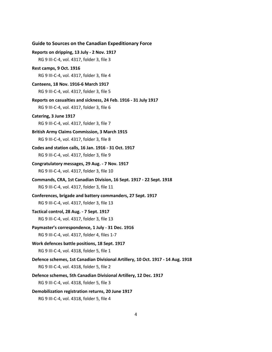| <b>Guide to Sources on the Canadian Expeditionary Force</b>                     |
|---------------------------------------------------------------------------------|
| Reports on dripping, 13 July - 2 Nov. 1917                                      |
| RG 9 III-C-4, vol. 4317, folder 3, file 3                                       |
| Rest camps, 9 Oct. 1916                                                         |
| RG 9 III-C-4, vol. 4317, folder 3, file 4                                       |
| Canteens, 18 Nov. 1916-6 March 1917                                             |
| RG 9 III-C-4, vol. 4317, folder 3, file 5                                       |
| Reports on casualties and sickness, 24 Feb. 1916 - 31 July 1917                 |
| RG 9 III-C-4, vol. 4317, folder 3, file 6                                       |
| Catering, 3 June 1917                                                           |
| RG 9 III-C-4, vol. 4317, folder 3, file 7                                       |
| <b>British Army Claims Commission, 3 March 1915</b>                             |
| RG 9 III-C-4, vol. 4317, folder 3, file 8                                       |
| Codes and station calls, 16 Jan. 1916 - 31 Oct. 1917                            |
| RG 9 III-C-4, vol. 4317, folder 3, file 9                                       |
| Congratulatory messages, 29 Aug. - 7 Nov. 1917                                  |
| RG 9 III-C-4, vol. 4317, folder 3, file 10                                      |
| Commands, CRA, 1st Canadian Division, 16 Sept. 1917 - 22 Sept. 1918             |
| RG 9 III-C-4, vol. 4317, folder 3, file 11                                      |
| Conferences, brigade and battery commanders, 27 Sept. 1917                      |
| RG 9 III-C-4, vol. 4317, folder 3, file 13                                      |
| Tactical control, 28 Aug. - 7 Sept. 1917                                        |
| RG 9 III-C-4, vol. 4317, folder 3, file 13                                      |
| Paymaster's correspondence, 1 July - 31 Dec. 1916                               |
| RG 9 III-C-4, vol. 4317, folder 4, files 1-7                                    |
| Work defences battle positions, 18 Sept. 1917                                   |
| RG 9 III-C-4, vol. 4318, folder 5, file 1                                       |
| Defence schemes, 1st Canadian Divisional Artillery, 10 Oct. 1917 - 14 Aug. 1918 |
| RG 9 III-C-4, vol. 4318, folder 5, file 2                                       |
| Defence schemes, 5th Canadian Divisional Artillery, 12 Dec. 1917                |
| RG 9 III-C-4, vol. 4318, folder 5, file 3                                       |
| Demobilization registration returns, 20 June 1917                               |
| RG 9 III-C-4, vol. 4318, folder 5, file 4                                       |

# 4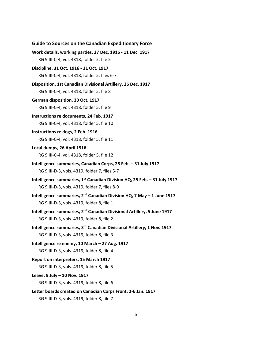| <b>Guide to Sources on the Canadian Expeditionary Force</b>                          |
|--------------------------------------------------------------------------------------|
| Work details, working parties, 27 Dec. 1916 - 11 Dec. 1917                           |
| RG 9 III-C-4, vol. 4318, folder 5, file 5                                            |
| Discipline, 31 Oct. 1916 - 31 Oct. 1917                                              |
| RG 9 III-C-4, vol. 4318, folder 5, files 6-7                                         |
| Disposition, 1st Canadian Divisional Artillery, 26 Dec. 1917                         |
| RG 9 III-C-4, vol. 4318, folder 5, file 8                                            |
| German disposition, 30 Oct. 1917                                                     |
| RG 9 III-C-4, vol. 4318, folder 5, file 9                                            |
| Instructions re documents, 24 Feb. 1917                                              |
| RG 9 III-C-4, vol. 4318, folder 5, file 10                                           |
| Instructions re dogs, 2 Feb. 1916                                                    |
| RG 9 III-C-4, vol. 4318, folder 5, file 11                                           |
| Local dumps, 26 April 1916                                                           |
| RG 9 III-C-4, vol. 4318, folder 5, file 12                                           |
| Intelligence summaries, Canadian Corps, 25 Feb. - 31 July 1917                       |
| RG 9 III-D-3, vols. 4319, folder 7, files 5-7                                        |
| Intelligence summaries, 1 <sup>st</sup> Canadian Division HQ, 25 Feb. - 31 July 1917 |
| RG 9 III-D-3, vols. 4319, folder 7, files 8-9                                        |
| Intelligence summaries, $2^{nd}$ Canadian Division HQ, 7 May - 1 June 1917           |
| RG 9 III-D-3, vols. 4319, folder 8, file 1                                           |
| Intelligence summaries, 2 <sup>nd</sup> Canadian Divisional Artillery, 5 June 1917   |
| RG 9 III-D-3, vols. 4319, folder 8, file 2                                           |
| Intelligence summaries, 3 <sup>rd</sup> Canadian Divisional Artillery, 1 Nov. 1917   |
| RG 9 III-D-3, vols. 4319, folder 8, file 3                                           |
| Intelligence re enemy, 10 March - 27 Aug. 1917                                       |
| RG 9 III-D-3, vols. 4319, folder 8, file 4                                           |
| Report on interpreters, 15 March 1917                                                |
| RG 9 III-D-3, vols. 4319, folder 8, file 5                                           |
| Leave, 9 July - 10 Nov. 1917                                                         |
| RG 9 III-D-3, vols. 4319, folder 8, file 6                                           |
| Letter boards created on Canadian Corps Front, 2-6 Jan. 1917                         |
| RG 9 III-D-3, vols. 4319, folder 8, file 7                                           |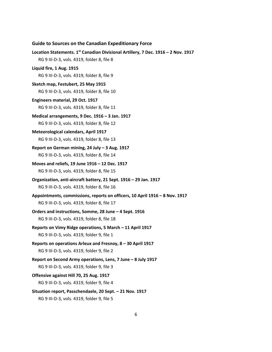| <b>Guide to Sources on the Canadian Expeditionary Force</b>                       |
|-----------------------------------------------------------------------------------|
| Location Statements. 1st Canadian Divisional Artillery, 7 Dec. 1916 - 2 Nov. 1917 |
| RG 9 III-D-3, vols. 4319, folder 8, file 8                                        |
| Liquid fire, 1 Aug. 1915                                                          |
| RG 9 III-D-3, vols. 4319, folder 8, file 9                                        |
| Sketch map, Festubert, 25 May 1915                                                |
| RG 9 III-D-3, vols. 4319, folder 8, file 10                                       |
| Engineers material, 29 Oct. 1917                                                  |
| RG 9 III-D-3, vols. 4319, folder 8, file 11                                       |
| Medical arrangements, 9 Dec. 1916 - 3 Jan. 1917                                   |
| RG 9 III-D-3, vols. 4319, folder 8, file 12                                       |
| <b>Meteorological calendars, April 1917</b>                                       |
| RG 9 III-D-3, vols. 4319, folder 8, file 13                                       |
| Report on German mining, 24 July - 3 Aug. 1917                                    |
| RG 9 III-D-3, vols. 4319, folder 8, file 14                                       |
| Moves and reliefs, 19 June 1916 - 12 Dec. 1917                                    |
| RG 9 III-D-3, vols. 4319, folder 8, file 15                                       |
| Organization, anti-aircraft battery, 21 Sept. 1916 - 29 Jan. 1917                 |
| RG 9 III-D-3, vols. 4319, folder 8, file 16                                       |
| Appointments, commissions, reports on officers, 10 April 1916 - 8 Nov. 1917       |
| RG 9 III-D-3, vols. 4319, folder 8, file 17                                       |
| Orders and instructions, Somme, 28 June - 4 Sept. 1916                            |
| RG 9 III-D-3, vols. 4319, folder 8, file 18                                       |
| Reports on Vimy Ridge operations, 5 March - 11 April 1917                         |
| RG 9 III-D-3, vols. 4319, folder 9, file 1                                        |
| Reports on operations Arleux and Fresnoy, 8 - 30 April 1917                       |
| RG 9 III-D-3, vols. 4319, folder 9, file 2                                        |
| Report on Second Army operations, Lens, 7 June - 8 July 1917                      |
| RG 9 III-D-3, vols. 4319, folder 9, file 3                                        |
| Offensive against Hill 70, 25 Aug. 1917                                           |
| RG 9 III-D-3, vols. 4319, folder 9, file 4                                        |
| Situation report, Passchendaele, 20 Sept. - 21 Nov. 1917                          |
| RG 9 III-D-3, vols. 4319, folder 9, file 5                                        |

# 6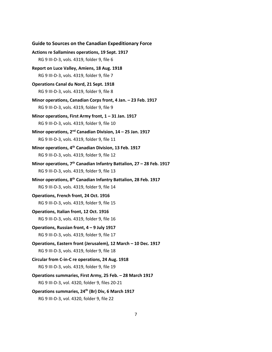**Guide to Sources on the Canadian Expeditionary Force Actions re Sallamines operations, 19 Sept. 1917** RG 9 III-D-3, vols. 4319, folder 9, file 6 **Report on Luce Valley, Amiens, 18 Aug. 1918** RG 9 III-D-3, vols. 4319, folder 9, file 7 **Operations Canal du Nord, 21 Sept. 1918** RG 9 III-D-3, vols. 4319, folder 9, file 8 **Minor operations, Canadian Corps front, 4 Jan. – 23 Feb. 1917** RG 9 III-D-3, vols. 4319, folder 9, file 9 **Minor operations, First Army front, 1 – 31 Jan. 1917** RG 9 III-D-3, vols. 4319, folder 9, file 10 **Minor operations, 2nd Canadian Division, 14 – 25 Jan. 1917** RG 9 III-D-3, vols. 4319, folder 9, file 11 **Minor operations, 4th Canadian Division, 13 Feb. 1917** RG 9 III-D-3, vols. 4319, folder 9, file 12 **Minor operations, 7th Canadian Infantry Battalion, 27 – 28 Feb. 1917** RG 9 III-D-3, vols. 4319, folder 9, file 13 **Minor operations, 8th Canadian Infantry Battalion, 28 Feb. 1917** RG 9 III-D-3, vols. 4319, folder 9, file 14 **Operations, French front, 24 Oct. 1916** RG 9 III-D-3, vols. 4319, folder 9, file 15 **Operations, Italian front, 12 Oct. 1916** RG 9 III-D-3, vols. 4319, folder 9, file 16 **Operations, Russian front, 4 – 9 July 1917** RG 9 III-D-3, vols. 4319, folder 9, file 17 **Operations, Eastern front (Jerusalem), 12 March – 10 Dec. 1917** RG 9 III-D-3, vols. 4319, folder 9, file 18 **Circular from C-in-C re operations, 24 Aug. 1918** RG 9 III-D-3, vols. 4319, folder 9, file 19 **Operations summaries, First Army, 25 Feb. – 28 March 1917** RG 9 III-D-3, vol. 4320, folder 9, files 20-21 **Operations summaries, 24th (Br) Div, 6 March 1917** RG 9 III-D-3, vol. 4320, folder 9, file 22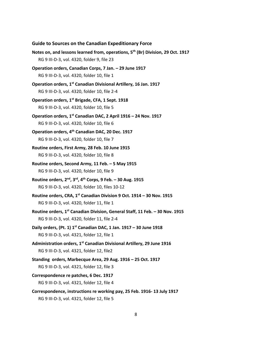**Guide to Sources on the Canadian Expeditionary Force Notes on, and lessons learned from, operations, 5th (Br) Division, 29 Oct. 1917** RG 9 III-D-3, vol. 4320, folder 9, file 23 **Operation orders, Canadian Corps, 7 Jan. – 29 June 1917** RG 9 III-D-3, vol. 4320, folder 10, file 1 **Operation orders, 1st Canadian Divisional Artillery, 16 Jan. 1917** RG 9 III-D-3, vol. 4320, folder 10, file 2-4 **Operation orders, 1st Brigade, CFA, 1 Sept. 1918** RG 9 III-D-3, vol. 4320, folder 10, file 5 **Operation orders, 1st Canadian DAC, 2 April 1916 – 24 Nov. 1917** RG 9 III-D-3, vol. 4320, folder 10, file 6 **Operation orders, 4th Canadian DAC, 20 Dec. 1917** RG 9 III-D-3, vol. 4320, folder 10, file 7 **Routine orders, First Army, 28 Feb. 10 June 1915** RG 9 III-D-3, vol. 4320, folder 10, file 8 **Routine orders, Second Army, 11 Feb. – 5 May 1915** RG 9 III-D-3, vol. 4320, folder 10, file 9 **Routine orders, 2nd, 3rd, 4th Corps, 9 Feb. – 30 Aug. 1915** RG 9 III-D-3, vol. 4320, folder 10, files 10-12 **Routine orders, CRA, 1st Canadian Division 9 Oct. 1914 – 30 Nov. 1915** RG 9 III-D-3, vol. 4320, folder 11, file 1 **Routine orders, 1st Canadian Division, General Staff, 11 Feb. – 30 Nov. 1915** RG 9 III-D-3, vol. 4320, folder 11, file 2-4 **Daily orders, (Pt. 1) 1st Canadian DAC, 1 Jan. 1917 – 30 June 1918** RG 9 III-D-3, vol. 4321, folder 12, file 1 **Administration orders, 1st Canadian Divisional Artillery, 29 June 1916** RG 9 III-D-3, vol. 4321, folder 12, file2 **Standing orders, Marbecque Area, 29 Aug. 1916 – 25 Oct. 1917** RG 9 III-D-3, vol. 4321, folder 12, file 3 **Correspondence re patches, 6 Dec. 1917** RG 9 III-D-3, vol. 4321, folder 12, file 4 **Correspondence, instructions re working pay, 25 Feb. 1916- 13 July 1917** RG 9 III-D-3, vol. 4321, folder 12, file 5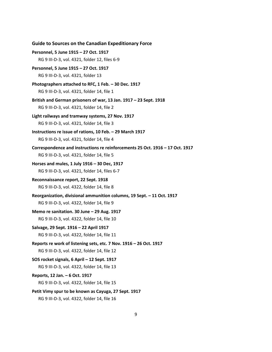| <b>Guide to Sources on the Canadian Expeditionary Force</b>                   |
|-------------------------------------------------------------------------------|
| Personnel, 5 June 1915 - 27 Oct. 1917                                         |
| RG 9 III-D-3, vol. 4321, folder 12, files 6-9                                 |
| Personnel, 5 June 1915 - 27 Oct. 1917                                         |
| RG 9 III-D-3, vol. 4321, folder 13                                            |
| Photographers attached to RFC, 1 Feb. - 30 Dec. 1917                          |
| RG 9 III-D-3, vol. 4321, folder 14, file 1                                    |
| British and German prisoners of war, 13 Jan. 1917 - 23 Sept. 1918             |
| RG 9 III-D-3, vol. 4321, folder 14, file 2                                    |
| Light railways and tramway systems, 27 Nov. 1917                              |
| RG 9 III-D-3, vol. 4321, folder 14, file 3                                    |
| Instructions re issue of rations, 10 Feb. - 29 March 1917                     |
| RG 9 III-D-3, vol. 4321, folder 14, file 4                                    |
| Correspondence and instructions re reinforcements 25 Oct. 1916 - 17 Oct. 1917 |
| RG 9 III-D-3, vol. 4321, folder 14, file 5                                    |
| Horses and mules, 1 July 1916 - 30 Dec, 1917                                  |
| RG 9 III-D-3, vol. 4321, folder 14, files 6-7                                 |
| Reconnaissance report, 22 Sept. 1918                                          |
| RG 9 III-D-3, vol. 4322, folder 14, file 8                                    |
| Reorganization, divisional ammunition columns, 19 Sept. - 11 Oct. 1917        |
| RG 9 III-D-3, vol. 4322, folder 14, file 9                                    |
| Memo re sanitation. 30 June - 29 Aug. 1917                                    |
| RG 9 III-D-3, vol. 4322, folder 14, file 10                                   |
| Salvage, 29 Sept. 1916 - 22 April 1917                                        |
| RG 9 III-D-3, vol. 4322, folder 14, file 11                                   |
| Reports re work of listening sets, etc. 7 Nov. 1916 - 26 Oct. 1917            |
| RG 9 III-D-3, vol. 4322, folder 14, file 12                                   |
| SOS rocket signals, 6 April - 12 Sept. 1917                                   |
| RG 9 III-D-3, vol. 4322, folder 14, file 13                                   |
| Reports, 12 Jan. - 6 Oct. 1917                                                |
| RG 9 III-D-3, vol. 4322, folder 14, file 15                                   |
| Petit Vimy spur to be known as Cayuga, 27 Sept. 1917                          |
| RG 9 III-D-3, vol. 4322, folder 14, file 16                                   |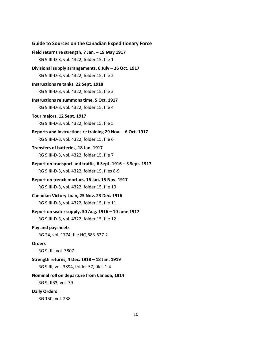```
Guide to Sources on the Canadian Expeditionary Force
Field returns re strength, 7 Jan. – 19 May 1917
   RG 9 III-D-3, vol. 4322, folder 15, file 1
Divisional supply arrangements, 6 July – 26 Oct. 1917
   RG 9 III-D-3, vol. 4322, folder 15, file 2
Instructions re tanks, 22 Sept. 1918
   RG 9 III-D-3, vol. 4322, folder 15, file 3
Instructions re summons time, 5 Oct. 1917
   RG 9 III-D-3, vol. 4322, folder 15, file 4
Tour majors, 12 Sept. 1917
   RG 9 III-D-3, vol. 4322, folder 15, file 5
Reports and instructions re training 29 Nov. – 6 Oct. 1917
   RG 9 III-D-3, vol. 4322, folder 15, file 6
Transfers of batteries, 18 Jan. 1917
   RG 9 III-D-3, vol. 4322, folder 15, file 7
Report on transport and traffic, 6 Sept. 1916 – 3 Sept. 1917
   RG 9 III-D-3, vol. 4322, folder 15, files 8-9
Report on trench mortars, 16 Jan. 15 Nov. 1917
   RG 9 III-D-3, vol. 4322, folder 15, file 10
Canadian Victory Loan, 25 Nov. 23 Dec. 1916
   RG 9 III-D-3, vol. 4322, folder 15, file 11
Report on water supply, 30 Aug. 1916 – 10 June 1917
   RG 9 III-D-3, vol. 4322, folder 15, file 12
Pay and paysheets
   RG 24, vol. 1774, file HQ 683-627-2
Orders
   RG 9, III, vol. 3807
Strength returns, 4 Dec. 1918 – 18 Jan. 1919
   RG 9 III, vol. 3894, folder 57, files 1-4
Nominal roll on departure from Canada, 1914
   RG 9, IIB3, vol. 79
Daily Orders
   RG 150, vol. 238
```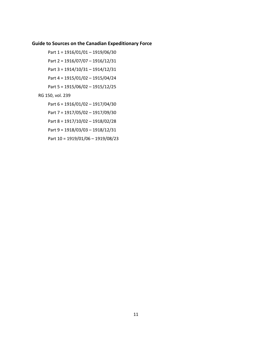- Part 1 = 1916/01/01 1919/06/30
- Part 2 = 1916/07/07 1916/12/31
- Part 3 = 1914/10/31 1914/12/31
- Part 4 = 1915/01/02 1915/04/24
- Part 5 = 1915/06/02 1915/12/25
- RG 150, vol. 239
	- Part 6 = 1916/01/02 1917/04/30
	- Part 7 = 1917/05/02 1917/09/30
	- Part 8 = 1917/10/02 1918/02/28
	- Part 9 = 1918/03/03 1918/12/31
	- Part 10 = 1919/01/06 1919/08/23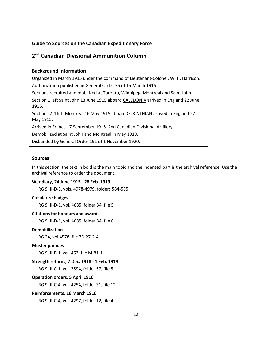# <span id="page-13-0"></span>**2 nd Canadian Divisional Ammunition Column**

# **Background Information**

Organized in March 1915 under the command of Lieutenant-Colonel. W. H. Harrison. Authorization published in General Order 36 of 15 March 1915.

Sections recruited and mobilized at Toronto, Winnipeg, Montreal and Saint John. Section 1 left Saint John 13 June 1915 aboard CALEDONIA arrived in England 22 June

Sections 2-4 left Montreal 16 May 1915 aboard CORINTHIAN arrived in England 27 May 1915.

Arrived in France 17 September 1915. 2nd Canadian Divisional Artillery.

Demobilized at Saint John and Montreal in May 1919.

Disbanded by General Order 191 of 1 November 1920.

## **Sources**

1915.

In this section, the text in bold is the main topic and the indented part is the archival reference. Use the archival reference to order the document.

#### **War diary, 24 June 1915 - 28 Feb. 1919**

RG 9 III-D-3, vols. 4978-4979, folders 584-585

# **Circular re badges**

RG 9 III-D-1, vol. 4685, folder 34, file 5

#### **Citations for honours and awards**

RG 9 III-D-1, vol. 4685, folder 34, file 6

#### **Demobilization**

RG 24, vol.4578, file 7D.27-2-4

#### **Muster parades**

RG 9 III-B-1, vol. 453, file M-81-1

## **Strength returns, 7 Dec. 1918 - 1 Feb. 1919**

RG 9 III-C-1, vol. 3894, folder 57, file 5

## **Operation orders, 5 April 1916**

RG 9 III-C-4, vol. 4254, folder 31, file 12

#### **Reinforcements, 16 March 1916**

RG 9 III-C-4, vol. 4297, folder 12, file 4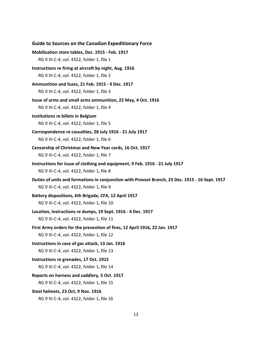| <b>Guide to Sources on the Canadian Expeditionary Force</b>                                               |
|-----------------------------------------------------------------------------------------------------------|
| Mobilization store tables, Dec. 1915 - Feb. 1917                                                          |
| RG 9 III-C-4, vol. 4322, folder 1, file 1                                                                 |
| Instructions re firing at aircraft by night, Aug. 1916                                                    |
| RG 9 III-C-4, vol. 4322, folder 1, file 2                                                                 |
| Ammunition and fuzes, 21 Feb. 1915 - 9 Dec. 1917                                                          |
| RG 9 III-C-4, vol. 4322, folder 1, file 3                                                                 |
| Issue of arms and small arms ammunition, 22 May, 4 Oct. 1916<br>RG 9 III-C-4, vol. 4322, folder 1, file 4 |
| Institutions re billets in Belgium                                                                        |
| RG 9 III-C-4, vol. 4322, folder 1, file 5                                                                 |
| Correspondence re casualties, 28 July 1916 - 21 July 1917                                                 |
| RG 9 III-C-4, vol. 4322, folder 1, file 6                                                                 |
| Censorship of Christmas and New Year cards, 16 Oct. 1917                                                  |
| RG 9 III-C-4, vol. 4322, folder 1, file 7                                                                 |
| Instructions for issue of clothing and equipment, 9 Feb. 1916 - 21 July 1917                              |
| RG 9 III-C-4, vol. 4322, folder 1, file 8                                                                 |
| Duties of units and formations in conjunction with Provost Branch, 23 Dec. 1915 - 16 Sept. 1917           |
| RG 9 III-C-4, vol. 4322, folder 1, file 9                                                                 |
| Battery dispositions, 6th Brigade, CFA, 12 April 1917                                                     |
| RG 9 III-C-4, vol. 4322, folder 1, file 10                                                                |
| Location, instructions re dumps, 19 Sept. 1916 - 4 Dec. 1917                                              |
| RG 9 III-C-4, vol. 4322, folder 1, file 11                                                                |
| First Army orders for the prevention of fires, 12 April 1916, 22 Jan. 1917                                |
| RG 9 III-C-4, vol. 4322, folder 1, file 12                                                                |
| Instructions in case of gas attack, 13 Jan. 1916                                                          |
| RG 9 III-C-4, vol. 4322, folder 1, file 13                                                                |
| Instructions re grenades, 17 Oct. 1915                                                                    |
| RG 9 III-C-4, vol. 4322, folder 1, file 14                                                                |
| Reports on harness and saddlery, 5 Oct. 1917                                                              |
| RG 9 III-C-4, vol. 4322, folder 1, file 15                                                                |
| Steel helmets, 23 Oct, 9 Nov. 1916                                                                        |
| RG 9 III-C-4, vol. 4322, folder 1, file 16                                                                |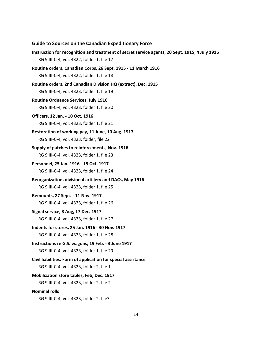**Guide to Sources on the Canadian Expeditionary Force Instruction for recognition and treatment of secret service agents, 20 Sept. 1915, 4 July 1916** RG 9 III-C-4, vol. 4322, folder 1, file 17 **Routine orders, Canadian Corps, 26 Sept. 1915 - 11 March 1916** RG 9 III-C-4, vol. 4322, folder 1, file 18 **Routine orders, 2nd Canadian Division HQ (extract), Dec. 1915** RG 9 III-C-4, vol. 4323, folder 1, file 19 **Routine Ordnance Services, July 1916** RG 9 III-C-4, vol. 4323, folder 1, file 20 **Officers, 12 Jan. - 10 Oct. 1916** RG 9 III-C-4, vol. 4323, folder 1, file 21 **Restoration of working pay, 11 June, 10 Aug. 1917** RG 9 III-C-4, vol. 4323, folder, file 22 **Supply of patches to reinforcements, Nov. 1916** RG 9 III-C-4, vol. 4323, folder 1, file 23 **Personnel, 25 Jan. 1916 - 15 Oct. 1917** RG 9 III-C-4, vol. 4323, folder 1, file 24 **Reorganization, divisional artillery and DACs, May 1916** RG 9 III-C-4, vol. 4323, folder 1, file 25 **Remounts, 27 Sept. - 11 Nov. 1917** RG 9 III-C-4, vol. 4323, folder 1, file 26 **Signal service, 8 Aug, 17 Dec. 1917** RG 9 III-C-4, vol. 4323, folder 1, file 27 **Indents for stores, 25 Jan. 1916 - 30 Nov. 1917** RG 9 III-C-4, vol. 4323, folder 1, file 28 **Instructions re G.S. wagons, 19 Feb. - 3 June 1917** RG 9 III-C-4, vol. 4323, folder 1, file 29 **Civil liabilities. Form of application for special assistance** RG 9 III-C-4, vol. 4323, folder 2, file 1 **Mobilization store tables, Feb, Dec. 1917** RG 9 III-C-4, vol. 4323, folder 2, file 2 **Nominal rolls** RG 9 III-C-4, vol. 4323, folder 2, file3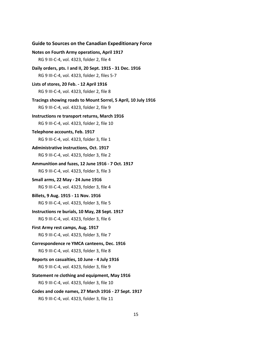**Notes on Fourth Army operations, April 1917** RG 9 III-C-4, vol. 4323, folder 2, file 4 **Daily orders, pts. I and II, 20 Sept. 1915 - 31 Dec. 1916** RG 9 III-C-4, vol. 4323, folder 2, files 5-7 **Lists of stores, 20 Feb. - 12 April 1916** RG 9 III-C-4, vol. 4323, folder 2, file 8 **Tracings showing roads to Mount Sorrel, 5 April, 10 July 1916** RG 9 III-C-4, vol. 4323, folder 2, file 9 **Instructions re transport returns, March 1916** RG 9 III-C-4, vol. 4323, folder 2, file 10 **Telephone accounts, Feb. 1917** RG 9 III-C-4, vol. 4323, folder 3, file 1 **Administrative instructions, Oct. 1917** RG 9 III-C-4, vol. 4323, folder 3, file 2 **Ammunition and fuzes, 12 June 1916 - 7 Oct. 1917** RG 9 III-C-4, vol. 4323, folder 3, file 3 **Small arms, 22 May - 24 June 1916** RG 9 III-C-4, vol. 4323, folder 3, file 4 **Billets, 9 Aug. 1915 - 11 Nov. 1916** RG 9 III-C-4, vol. 4323, folder 3, file 5 **Instructions re burials, 10 May, 28 Sept. 1917** RG 9 III-C-4, vol. 4323, folder 3, file 6 **First Army rest camps, Aug. 1917** RG 9 III-C-4, vol. 4323, folder 3, file 7 **Correspondence re YMCA canteens, Dec. 1916** RG 9 III-C-4, vol. 4323, folder 3, file 8 **Reports on casualties, 10 June - 4 July 1916** RG 9 III-C-4, vol. 4323, folder 3, file 9 **Statement re clothing and equipment, May 1916** RG 9 III-C-4, vol. 4323, folder 3, file 10 **Codes and code names, 27 March 1916 - 27 Sept. 1917**

**Guide to Sources on the Canadian Expeditionary Force**

RG 9 III-C-4, vol. 4323, folder 3, file 11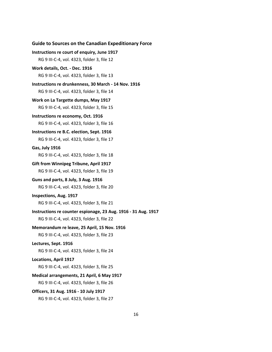```
Guide to Sources on the Canadian Expeditionary Force
Instructions re court of enquiry, June 1917
   RG 9 III-C-4, vol. 4323, folder 3, file 12
Work details, Oct. - Dec. 1916
   RG 9 III-C-4, vol. 4323, folder 3, file 13
Instructions re drunkenness, 30 March - 14 Nov. 1916
   RG 9 III-C-4, vol. 4323, folder 3, file 14
Work on La Targette dumps, May 1917
   RG 9 III-C-4, vol. 4323, folder 3, file 15
Instructions re economy, Oct. 1916
   RG 9 III-C-4, vol. 4323, folder 3, file 16
Instructions re B.C. election, Sept. 1916
   RG 9 III-C-4, vol. 4323, folder 3, file 17
Gas, July 1916
   RG 9 III-C-4, vol. 4323, folder 3, file 18
Gift from Winnipeg Tribune, April 1917
   RG 9 III-C-4, vol. 4323, folder 3, file 19
Guns and parts, 8 July, 3 Aug. 1916
   RG 9 III-C-4, vol. 4323, folder 3, file 20
Inspections, Aug. 1917
   RG 9 III-C-4, vol. 4323, folder 3, file 21
Instructions re counter espionage, 23 Aug. 1916 - 31 Aug. 1917
   RG 9 III-C-4, vol. 4323, folder 3, file 22
Memorandum re leave, 25 April, 15 Nov. 1916
   RG 9 III-C-4, vol. 4323, folder 3, file 23
Lectures, Sept. 1916
   RG 9 III-C-4, vol. 4323, folder 3, file 24
Locations, April 1917
   RG 9 III-C-4, vol. 4323, folder 3, file 25
Medical arrangements, 21 April, 6 May 1917
   RG 9 III-C-4, vol. 4323, folder 3, file 26
Officers, 31 Aug. 1916 - 10 July 1917
   RG 9 III-C-4, vol. 4323, folder 3, file 27
```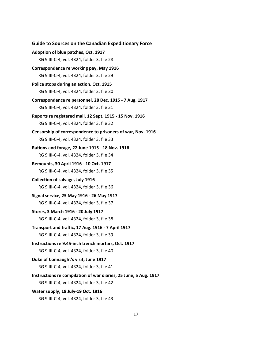**Guide to Sources on the Canadian Expeditionary Force Adoption of blue patches, Oct. 1917** RG 9 III-C-4, vol. 4324, folder 3, file 28 **Correspondence re working pay, May 1916** RG 9 III-C-4, vol. 4324, folder 3, file 29 **Police stops during an action, Oct. 1915** RG 9 III-C-4, vol. 4324, folder 3, file 30 **Correspondence re personnel, 28 Dec. 1915 - 7 Aug. 1917** RG 9 III-C-4, vol. 4324, folder 3, file 31 **Reports re registered mail, 12 Sept. 1915 - 15 Nov. 1916** RG 9 III-C-4, vol. 4324, folder 3, file 32 **Censorship of correspondence to prisoners of war, Nov. 1916** RG 9 III-C-4, vol. 4324, folder 3, file 33 **Rations and forage, 22 June 1915 - 18 Nov. 1916** RG 9 III-C-4, vol. 4324, folder 3, file 34 **Remounts, 30 April 1916 - 10 Oct. 1917** RG 9 III-C-4, vol. 4324, folder 3, file 35 **Collection of salvage, July 1916** RG 9 III-C-4, vol. 4324, folder 3, file 36 **Signal service, 25 May 1916 - 26 May 1917** RG 9 III-C-4, vol. 4324, folder 3, file 37 **Stores, 3 March 1916 - 20 July 1917** RG 9 III-C-4, vol. 4324, folder 3, file 38 **Transport and traffic, 17 Aug. 1916 - 7 April 1917** RG 9 III-C-4, vol. 4324, folder 3, file 39 **Instructions re 9.45-inch trench mortars, Oct. 1917** RG 9 III-C-4, vol. 4324, folder 3, file 40 **Duke of Connaught's visit, June 1917** RG 9 III-C-4, vol. 4324, folder 3, file 41 **Instructions re compilation of war diaries, 25 June, 5 Aug. 1917** RG 9 III-C-4, vol. 4324, folder 3, file 42 **Water supply, 18 July-19 Oct. 1916** RG 9 III-C-4, vol. 4324, folder 3, file 43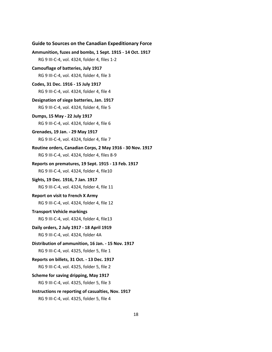```
Guide to Sources on the Canadian Expeditionary Force
Ammunition, fuzes and bombs, 1 Sept. 1915 - 14 Oct. 1917
   RG 9 III-C-4, vol. 4324, folder 4, files 1-2
Camouflage of batteries, July 1917
   RG 9 III-C-4, vol. 4324, folder 4, file 3
Codes, 31 Dec. 1916 - 15 July 1917
   RG 9 III-C-4, vol. 4324, folder 4, file 4
Designation of siege batteries, Jan. 1917
   RG 9 III-C-4, vol. 4324, folder 4, file 5
Dumps, 15 May - 22 July 1917
   RG 9 III-C-4, vol. 4324, folder 4, file 6
Grenades, 19 Jan. - 29 May 1917
   RG 9 III-C-4, vol. 4324, folder 4, file 7
Routine orders, Canadian Corps, 2 May 1916 - 30 Nov. 1917
   RG 9 III-C-4, vol. 4324, folder 4, files 8-9
Reports on prematures, 19 Sept. 1915 - 13 Feb. 1917
   RG 9 III-C-4, vol. 4324, folder 4, file10
Sights, 19 Dec. 1916, 7 Jan. 1917
   RG 9 III-C-4, vol. 4324, folder 4, file 11
Report on visit to French X Army
   RG 9 III-C-4, vol. 4324, folder 4, file 12
Transport Vehicle markings
   RG 9 III-C-4, vol. 4324, folder 4, file13
Daily orders, 2 July 1917 - 18 April 1919
   RG 9 III-C-4, vol. 4324, folder 4A
Distribution of ammunition, 16 Jan. - 15 Nov. 1917
   RG 9 III-C-4, vol. 4325, folder 5, file 1
Reports on billets, 31 Oct. - 13 Dec. 1917
   RG 9 III-C-4, vol. 4325, folder 5, file 2
Scheme for saving dripping, May 1917
   RG 9 III-C-4, vol. 4325, folder 5, file 3
Instructions re reporting of casualties, Nov. 1917
   RG 9 III-C-4, vol. 4325, folder 5, file 4
```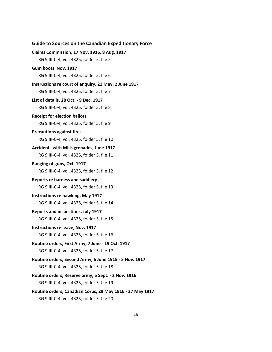# **Claims Commission, 17 Nov. 1916, 8 Aug. 1917** RG 9 III-C-4, vol. 4325, folder 5, file 5 **Gum boots, Nov. 1917** RG 9 III-C-4, vol. 4325, folder 5, file 6 **Instructions re court of enquiry, 21 May, 2 June 1917** RG 9 III-C-4, vol. 4325, folder 5, file 7 **List of details, 28 Oct. - 9 Dec. 1917** RG 9 III-C-4, vol. 4325, folder 5, file 8 **Receipt for election ballots** RG 9 III-C-4, vol. 4325, folder 5, file 9 **Precautions against fires** RG 9 III-C-4, vol. 4325, folder 5, file 10 **Accidents with Mills grenades, June 1917** RG 9 III-C-4, vol. 4325, folder 5, file 11 **Ranging of guns, Oct. 1917** RG 9 III-C-4, vol. 4325, folder 5, file 12 **Reports re harness and saddlery** RG 9 III-C-4, vol. 4325, folder 5, file 13 **Instructions re hawking, May 1917** RG 9 III-C-4, vol. 4325, folder 5, file 14 **Reports and inspections, July 1917** RG 9 III-C-4, vol. 4325, folder 5, file 15 **Instructions re leave, Nov. 1917** RG 9 III-C-4, vol. 4325, folder 5, file 16 **Routine orders, First Army, 7 June - 19 Oct. 1917** RG 9 III-C-4, vol. 4325, folder 5, file 17 **Routine orders, Second Army, 6 June 1915 - 5 Nov. 1917** RG 9 III-C-4, vol. 4325, folder 5, file 18 **Routine orders, Reserve army, 5 Sept. - 2 Nov. 1916** RG 9 III-C-4, vol. 4325, folder 5, file 19 **Routine orders, Canadian Corps, 29 May 1916 - 27 May 1917**

**Guide to Sources on the Canadian Expeditionary Force**

RG 9 III-C-4, vol. 4325, folder 5, file 20

#### 19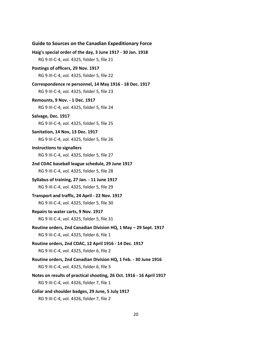**Guide to Sources on the Canadian Expeditionary Force Haig's special order of the day, 3 June 1917 - 30 Jan. 1918** RG 9 III-C-4, vol. 4325, folder 5, file 21 **Postings of officers, 29 Nov. 1917** RG 9 III-C-4, vol. 4325, folder 5, file 22 **Correspondence re personnel, 14 May 1916 - 18 Dec. 1917** RG 9 III-C-4, vol. 4325, folder 5, file 23 **Remounts, 9 Nov. - 1 Dec. 1917** RG 9 III-C-4, vol. 4325, folder 5, file 24 **Salvage, Dec. 1917** RG 9 III-C-4, vol. 4325, folder 5, file 25 **Sanitation, 14 Nov, 13 Dec. 1917** RG 9 III-C-4, vol. 4325, folder 5, file 26 **Instructions to signallers** RG 9 III-C-4, vol. 4325, folder 5, file 27 **2nd CDAC baseball league schedule, 29 June 1917** RG 9 III-C-4, vol. 4325, folder 5, file 28 **Syllabus of training, 27 Jan. - 11 June 1917** RG 9 III-C-4, vol. 4325, folder 5, file 29 **Transport and traffic, 24 April - 22 Nov. 1917** RG 9 III-C-4, vol. 4325, folder 5, file 30 **Repairs to water carts, 9 Nov. 1917** RG 9 III-C-4, vol. 4325, folder 5, file 31 **Routine orders, 2nd Canadian Division HQ, 1 May – 29 Sept. 1917** RG 9 III-C-4, vol. 4325, folder 6, file 1 **Routine orders, 2nd CDAC, 12 April 1916 - 14 Dec. 1917** RG 9 III-C-4, vol. 4325, folder 6, file 2 **Routine orders, 2nd Canadian Division HQ, 1 Feb. - 30 June 1916** RG 9 III-C-4, vol. 4325, folder 6, file 3 **Notes on results of practical shooting, 26 Oct. 1916 - 16 April 1917** RG 9 III-C-4, vol. 4326, folder 7, file 1 **Collar and shoulder badges, 29 June, 5 July 1917** RG 9 III-C-4, vol. 4326, folder 7, file 2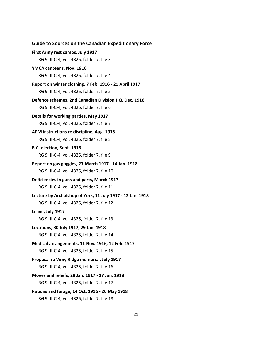```
Guide to Sources on the Canadian Expeditionary Force
First Army rest camps, July 1917
   RG 9 III-C-4, vol. 4326, folder 7, file 3
YMCA canteens, Nov. 1916
   RG 9 III-C-4, vol. 4326, folder 7, file 4
Report on winter clothing, 7 Feb. 1916 - 21 April 1917
   RG 9 III-C-4, vol. 4326, folder 7, file 5
Defence schemes, 2nd Canadian Division HQ, Dec. 1916
   RG 9 III-C-4, vol. 4326, folder 7, file 6
Details for working parties, May 1917
   RG 9 III-C-4, vol. 4326, folder 7, file 7
APM instructions re discipline, Aug. 1916
   RG 9 III-C-4, vol. 4326, folder 7, file 8
B.C. election, Sept. 1916
   RG 9 III-C-4, vol. 4326, folder 7, file 9
Report on gas goggles, 27 March 1917 - 14 Jan. 1918
   RG 9 III-C-4, vol. 4326, folder 7, file 10
Deficiencies in guns and parts, March 1917
   RG 9 III-C-4, vol. 4326, folder 7, file 11
Lecture by Archbishop of York, 11 July 1917 - 12 Jan. 1918
   RG 9 III-C-4, vol. 4326, folder 7, file 12
Leave, July 1917
   RG 9 III-C-4, vol. 4326, folder 7, file 13
Locations, 30 July 1917, 29 Jan. 1918
   RG 9 III-C-4, vol. 4326, folder 7, file 14
Medical arrangements, 11 Nov. 1916, 12 Feb. 1917
   RG 9 III-C-4, vol. 4326, folder 7, file 15
Proposal re Vimy Ridge memorial, July 1917
   RG 9 III-C-4, vol. 4326, folder 7, file 16
Moves and reliefs, 28 Jan. 1917 - 17 Jan. 1918
   RG 9 III-C-4, vol. 4326, folder 7, file 17
Rations and forage, 14 Oct. 1916 - 20 May 1918
   RG 9 III-C-4, vol. 4326, folder 7, file 18
```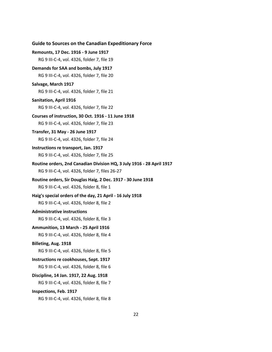**Remounts, 17 Dec. 1916 - 9 June 1917** RG 9 III-C-4, vol. 4326, folder 7, file 19 **Demands for SAA and bombs, July 1917** RG 9 III-C-4, vol. 4326, folder 7, file 20 **Salvage, March 1917** RG 9 III-C-4, vol. 4326, folder 7, file 21 **Sanitation, April 1916** RG 9 III-C-4, vol. 4326, folder 7, file 22 **Courses of instruction, 30 Oct. 1916 - 11 June 1918** RG 9 III-C-4, vol. 4326, folder 7, file 23 **Transfer, 31 May - 26 June 1917** RG 9 III-C-4, vol. 4326, folder 7, file 24 **Instructions re transport, Jan. 1917** RG 9 III-C-4, vol. 4326, folder 7, file 25 **Routine orders, 2nd Canadian Division HQ, 3 July 1916 - 28 April 1917** RG 9 III-C-4, vol. 4326, folder 7, files 26-27 **Routine orders, Sir Douglas Haig, 2 Dec. 1917 - 30 June 1918** RG 9 III-C-4, vol. 4326, folder 8, file 1 **Haig's special orders of the day, 21 April - 16 July 1918** RG 9 III-C-4, vol. 4326, folder 8, file 2 **Administrative instructions** RG 9 III-C-4, vol. 4326, folder 8, file 3 **Ammunition, 13 March - 25 April 1916** RG 9 III-C-4, vol. 4326, folder 8, file 4 **Billeting, Aug. 1918** RG 9 III-C-4, vol. 4326, folder 8, file 5 **Instructions re cookhouses, Sept. 1917** RG 9 III-C-4, vol. 4326, folder 8, file 6 **Discipline, 14 Jan. 1917, 22 Aug. 1918** RG 9 III-C-4, vol. 4326, folder 8, file 7 **Inspections, Feb. 1917** RG 9 III-C-4, vol. 4326, folder 8, file 8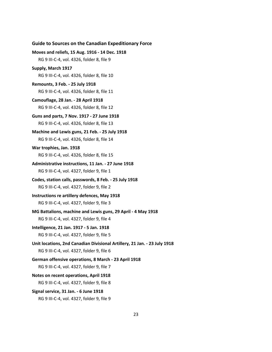# **Moves and reliefs, 15 Aug. 1916 - 14 Dec. 1918** RG 9 III-C-4, vol. 4326, folder 8, file 9 **Supply, March 1917** RG 9 III-C-4, vol. 4326, folder 8, file 10 **Remounts, 3 Feb. - 25 July 1918** RG 9 III-C-4, vol. 4326, folder 8, file 11 **Camouflage, 28 Jan. - 28 April 1918** RG 9 III-C-4, vol. 4326, folder 8, file 12 **Guns and parts, 7 Nov. 1917 - 27 June 1918** RG 9 III-C-4, vol. 4326, folder 8, file 13 **Machine and Lewis guns, 21 Feb. - 25 July 1918** RG 9 III-C-4, vol. 4326, folder 8, file 14 **War trophies, Jan. 1918** RG 9 III-C-4, vol. 4326, folder 8, file 15 **Administrative instructions, 11 Jan. - 27 June 1918** RG 9 III-C-4, vol. 4327, folder 9, file 1 **Codes, station calls, passwords, 8 Feb. - 25 July 1918** RG 9 III-C-4, vol. 4327, folder 9, file 2 **Instructions re artillery defences, May 1918** RG 9 III-C-4, vol. 4327, folder 9, file 3 **MG Battalions, machine and Lewis guns, 29 April - 4 May 1918** RG 9 III-C-4, vol. 4327, folder 9, file 4 **Intelligence, 21 Jan. 1917 - 5 Jan. 1918** RG 9 III-C-4, vol. 4327, folder 9, file 5 **Unit locations, 2nd Canadian Divisional Artillery, 21 Jan. - 23 July 1918** RG 9 III-C-4, vol. 4327, folder 9, file 6 **German offensive operations, 8 March - 23 April 1918** RG 9 III-C-4, vol. 4327, folder 9, file 7 **Notes on recent operations, April 1918** RG 9 III-C-4, vol. 4327, folder 9, file 8 **Signal service, 31 Jan. - 6 June 1918**

**Guide to Sources on the Canadian Expeditionary Force**

RG 9 III-C-4, vol. 4327, folder 9, file 9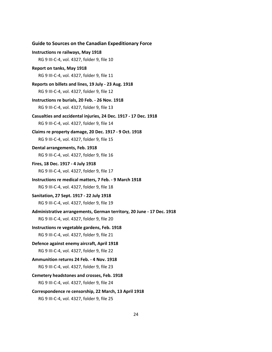**Guide to Sources on the Canadian Expeditionary Force Instructions re railways, May 1918** RG 9 III-C-4, vol. 4327, folder 9, file 10 **Report on tanks, May 1918** RG 9 III-C-4, vol. 4327, folder 9, file 11 **Reports on billets and lines, 19 July - 23 Aug. 1918** RG 9 III-C-4, vol. 4327, folder 9, file 12 **Instructions re burials, 20 Feb. - 26 Nov. 1918** RG 9 III-C-4, vol. 4327, folder 9, file 13 **Casualties and accidental injuries, 24 Dec. 1917 - 17 Dec. 1918** RG 9 III-C-4, vol. 4327, folder 9, file 14 **Claims re property damage, 20 Dec. 1917 - 9 Oct. 1918** RG 9 III-C-4, vol. 4327, folder 9, file 15 **Dental arrangements, Feb. 1918** RG 9 III-C-4, vol. 4327, folder 9, file 16 **Fires, 18 Dec. 1917 - 4 July 1918** RG 9 III-C-4, vol. 4327, folder 9, file 17 **Instructions re medical matters, 7 Feb. - 9 March 1918** RG 9 III-C-4, vol. 4327, folder 9, file 18 **Sanitation, 27 Sept. 1917 - 22 July 1918** RG 9 III-C-4, vol. 4327, folder 9, file 19 **Administrative arrangements, German territory, 20 June - 17 Dec. 1918** RG 9 III-C-4, vol. 4327, folder 9, file 20 **Instructions re vegetable gardens, Feb. 1918** RG 9 III-C-4, vol. 4327, folder 9, file 21 **Defence against enemy aircraft, April 1918** RG 9 III-C-4, vol. 4327, folder 9, file 22 **Ammunition returns 24 Feb. - 4 Nov. 1918** RG 9 III-C-4, vol. 4327, folder 9, file 23 **Cemetery headstones and crosses, Feb. 1918** RG 9 III-C-4, vol. 4327, folder 9, file 24 **Correspondence re censorship, 22 March, 13 April 1918** RG 9 III-C-4, vol. 4327, folder 9, file 25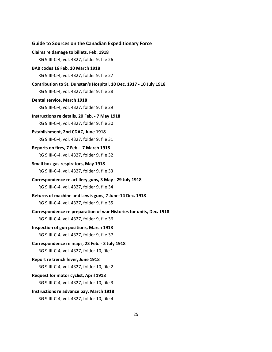```
Claims re damage to billets, Feb. 1918
   RG 9 III-C-4, vol. 4327, folder 9, file 26
BAB codes 16 Feb, 10 March 1918
   RG 9 III-C-4, vol. 4327, folder 9, file 27
Contribution to St. Dunstan's Hospital, 10 Dec. 1917 - 10 July 1918
   RG 9 III-C-4, vol. 4327, folder 9, file 28
Dental service, March 1918
   RG 9 III-C-4, vol. 4327, folder 9, file 29
Instructions re details, 20 Feb. - 7 May 1918
   RG 9 III-C-4, vol. 4327, folder 9, file 30
Establishment, 2nd CDAC, June 1918
   RG 9 III-C-4, vol. 4327, folder 9, file 31
Reports on fires, 7 Feb. - 7 March 1918
   RG 9 III-C-4, vol. 4327, folder 9, file 32
Small box gas respirators, May 1918
   RG 9 III-C-4, vol. 4327, folder 9, file 33
Correspondence re artillery guns, 3 May - 29 July 1918
   RG 9 III-C-4, vol. 4327, folder 9, file 34
Returns of machine and Lewis guns, 7 June-14 Dec. 1918
   RG 9 III-C-4, vol. 4327, folder 9, file 35
Correspondence re preparation of war Histories for units, Dec. 1918
   RG 9 III-C-4, vol. 4327, folder 9, file 36
Inspection of gun positions, March 1918
   RG 9 III-C-4, vol. 4327, folder 9, file 37
Correspondence re maps, 23 Feb. - 3 July 1918
   RG 9 III-C-4, vol. 4327, folder 10, file 1
Report re trench fever, June 1918
   RG 9 III-C-4, vol. 4327, folder 10, file 2
Request for motor cyclist, April 1918
   RG 9 III-C-4, vol. 4327, folder 10, file 3
Instructions re advance pay, March 1918
   RG 9 III-C-4, vol. 4327, folder 10, file 4
```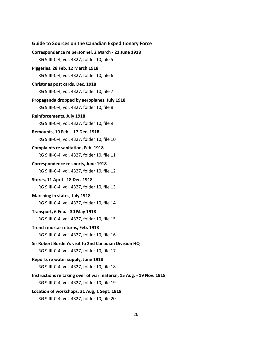```
Guide to Sources on the Canadian Expeditionary Force
Correspondence re personnel, 2 March - 21 June 1918
   RG 9 III-C-4, vol. 4327, folder 10, file 5
Piggeries, 28 Feb, 12 March 1918
   RG 9 III-C-4, vol. 4327, folder 10, file 6
Christmas post cards, Dec. 1918
   RG 9 III-C-4, vol. 4327, folder 10, file 7
Propaganda dropped by aeroplanes, July 1918
   RG 9 III-C-4, vol. 4327, folder 10, file 8
Reinforcements, July 1918
   RG 9 III-C-4, vol. 4327, folder 10, file 9
Remounts, 19 Feb. - 17 Dec. 1918
   RG 9 III-C-4, vol. 4327, folder 10, file 10
Complaints re sanitation, Feb. 1918
   RG 9 III-C-4, vol. 4327, folder 10, file 11
Correspondence re sports, June 1918
   RG 9 III-C-4, vol. 4327, folder 10, file 12
Stores, 11 April - 18 Dec. 1918
   RG 9 III-C-4, vol. 4327, folder 10, file 13
Marching in states, July 1918
   RG 9 III-C-4, vol. 4327, folder 10, file 14
Transport, 6 Feb. - 30 May 1918
   RG 9 III-C-4, vol. 4327, folder 10, file 15
Trench mortar returns, Feb. 1918
   RG 9 III-C-4, vol. 4327, folder 10, file 16
Sir Robert Borden's visit to 2nd Canadian Division HQ
   RG 9 III-C-4, vol. 4327, folder 10, file 17
Reports re water supply, June 1918
   RG 9 III-C-4, vol. 4327, folder 10, file 18
Instructions re taking over of war material, 15 Aug. - 19 Nov. 1918
   RG 9 III-C-4, vol. 4327, folder 10, file 19
Location of workshops, 31 Aug, 1 Sept. 1918
   RG 9 III-C-4, vol. 4327, folder 10, file 20
```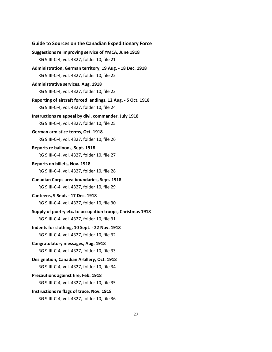**Guide to Sources on the Canadian Expeditionary Force Suggestions re improving service of YMCA, June 1918** RG 9 III-C-4, vol. 4327, folder 10, file 21 **Administration, German territory, 19 Aug. - 18 Dec. 1918** RG 9 III-C-4, vol. 4327, folder 10, file 22 **Administrative services, Aug. 1918** RG 9 III-C-4, vol. 4327, folder 10, file 23 **Reporting of aircraft forced landings, 12 Aug. - 5 Oct. 1918** RG 9 III-C-4, vol. 4327, folder 10, file 24 **Instructions re appeal by divl. commander, July 1918** RG 9 III-C-4, vol. 4327, folder 10, file 25 **German armistice terms, Oct. 1918** RG 9 III-C-4, vol. 4327, folder 10, file 26 **Reports re balloons, Sept. 1918** RG 9 III-C-4, vol. 4327, folder 10, file 27 **Reports on billets, Nov. 1918** RG 9 III-C-4, vol. 4327, folder 10, file 28 **Canadian Corps area boundaries, Sept. 1918** RG 9 III-C-4, vol. 4327, folder 10, file 29 **Canteens, 9 Sept. - 17 Dec. 1918** RG 9 III-C-4, vol. 4327, folder 10, file 30 **Supply of poetry etc. to occupation troops, Christmas 1918** RG 9 III-C-4, vol. 4327, folder 10, file 31 **Indents for clothing, 10 Sept. - 22 Nov. 1918** RG 9 III-C-4, vol. 4327, folder 10, file 32 **Congratulatory messages, Aug. 1918** RG 9 III-C-4, vol. 4327, folder 10, file 33 **Designation, Canadian Artillery, Oct. 1918** RG 9 III-C-4, vol. 4327, folder 10, file 34 **Precautions against fire, Feb. 1918** RG 9 III-C-4, vol. 4327, folder 10, file 35 **Instructions re flags of truce, Nov. 1918** RG 9 III-C-4, vol. 4327, folder 10, file 36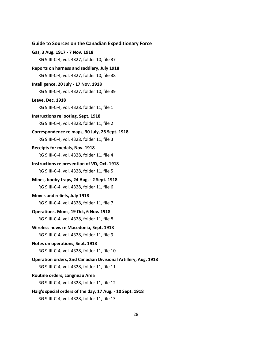```
Gas, 3 Aug. 1917 - 7 Nov. 1918
   RG 9 III-C-4, vol. 4327, folder 10, file 37
Reports on harness and saddlery, July 1918
   RG 9 III-C-4, vol. 4327, folder 10, file 38
Intelligence, 20 July - 17 Nov. 1918
   RG 9 III-C-4, vol. 4327, folder 10, file 39
Leave, Dec. 1918
   RG 9 III-C-4, vol. 4328, folder 11, file 1 
Instructions re looting, Sept. 1918
   RG 9 III-C-4, vol. 4328, folder 11, file 2
Correspondence re maps, 30 July, 26 Sept. 1918
   RG 9 III-C-4, vol. 4328, folder 11, file 3
Receipts for medals, Nov. 1918
   RG 9 III-C-4, vol. 4328, folder 11, file 4
Instructions re prevention of VD, Oct. 1918
   RG 9 III-C-4, vol. 4328, folder 11, file 5
Mines, booby traps, 24 Aug. - 2 Sept. 1918
   RG 9 III-C-4, vol. 4328, folder 11, file 6
Moves and reliefs, July 1918
   RG 9 III-C-4, vol. 4328, folder 11, file 7
Operations. Mons, 19 Oct, 6 Nov. 1918
   RG 9 III-C-4, vol. 4328, folder 11, file 8
Wireless news re Macedonia, Sept. 1918
   RG 9 III-C-4, vol. 4328, folder 11, file 9
Notes on operations, Sept. 1918
   RG 9 III-C-4, vol. 4328, folder 11, file 10
Operation orders, 2nd Canadian Divisional Artillery, Aug. 1918
   RG 9 III-C-4, vol. 4328, folder 11, file 11
Routine orders, Longneau Area
   RG 9 III-C-4, vol. 4328, folder 11, file 12
Haig's special orders of the day, 17 Aug. - 10 Sept. 1918
   RG 9 III-C-4, vol. 4328, folder 11, file 13
```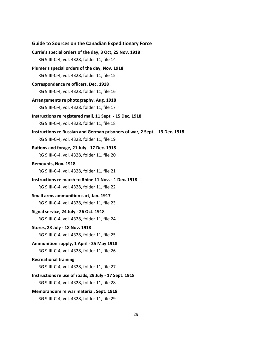```
Currie's special orders of the day, 3 Oct, 25 Nov. 1918
   RG 9 III-C-4, vol. 4328, folder 11, file 14
Plumer's special orders of the day, Nov. 1918
   RG 9 III-C-4, vol. 4328, folder 11, file 15
Correspondence re officers, Dec. 1918
   RG 9 III-C-4, vol. 4328, folder 11, file 16
Arrangements re photography, Aug. 1918
   RG 9 III-C-4, vol. 4328, folder 11, file 17
Instructions re registered mail, 11 Sept. - 15 Dec. 1918
   RG 9 III-C-4, vol. 4328, folder 11, file 18
Instructions re Russian and German prisoners of war, 2 Sept. - 13 Dec. 1918
   RG 9 III-C-4, vol. 4328, folder 11, file 19
Rations and forage, 21 July - 17 Dec. 1918
   RG 9 III-C-4, vol. 4328, folder 11, file 20
Remounts, Nov. 1918
   RG 9 III-C-4, vol. 4328, folder 11, file 21
Instructions re march to Rhine 11 Nov. - 1 Dec. 1918
   RG 9 III-C-4, vol. 4328, folder 11, file 22
Small arms ammunition cart, Jan. 1917
   RG 9 III-C-4, vol. 4328, folder 11, file 23
Signal service, 24 July - 26 Oct. 1918
   RG 9 III-C-4, vol. 4328, folder 11, file 24
Stores, 23 July - 18 Nov. 1918
   RG 9 III-C-4, vol. 4328, folder 11, file 25
Ammunition supply, 1 April - 25 May 1918
   RG 9 III-C-4, vol. 4328, folder 11, file 26
Recreational training
   RG 9 III-C-4, vol. 4328, folder 11, file 27
Instructions re use of roads, 29 July - 17 Sept. 1918
   RG 9 III-C-4, vol. 4328, folder 11, file 28
Memorandum re war material, Sept. 1918
   RG 9 III-C-4, vol. 4328, folder 11, file 29
```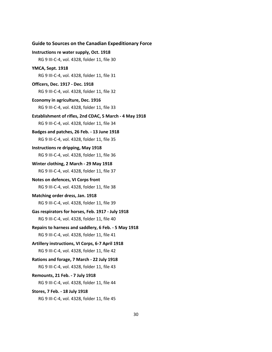```
Instructions re water supply, Oct. 1918
   RG 9 III-C-4, vol. 4328, folder 11, file 30
YMCA, Sept. 1918
   RG 9 III-C-4, vol. 4328, folder 11, file 31
Officers, Dec. 1917 - Dec. 1918
   RG 9 III-C-4, vol. 4328, folder 11, file 32
Economy in agriculture, Dec. 1916
   RG 9 III-C-4, vol. 4328, folder 11, file 33
Establishment of rifles, 2nd CDAC, 5 March - 4 May 1918
   RG 9 III-C-4, vol. 4328, folder 11, file 34
Badges and patches, 26 Feb. - 13 June 1918
   RG 9 III-C-4, vol. 4328, folder 11, file 35
Instructions re dripping, May 1918
   RG 9 III-C-4, vol. 4328, folder 11, file 36
Winter clothing, 2 March - 29 May 1918
   RG 9 III-C-4, vol. 4328, folder 11, file 37
Notes on defences, VI Corps front
   RG 9 III-C-4, vol. 4328, folder 11, file 38
Matching order dress, Jan. 1918
   RG 9 III-C-4, vol. 4328, folder 11, file 39
Gas respirators for horses, Feb. 1917 - July 1918
   RG 9 III-C-4, vol. 4328, folder 11, file 40 
Repairs to harness and saddlery, 6 Feb. - 5 May 1918
   RG 9 III-C-4, vol. 4328, folder 11, file 41
Artillery instructions, VI Corps, 6-7 April 1918
   RG 9 III-C-4, vol. 4328, folder 11, file 42
Rations and forage, 7 March - 22 July 1918
   RG 9 III-C-4, vol. 4328, folder 11, file 43
Remounts, 21 Feb. - 7 July 1918
   RG 9 III-C-4, vol. 4328, folder 11, file 44
Stores, 7 Feb. - 18 July 1918
```
RG 9 III-C-4, vol. 4328, folder 11, file 45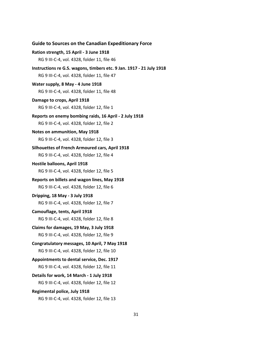```
Ration strength, 15 April - 3 June 1918
   RG 9 III-C-4, vol. 4328, folder 11, file 46
Instructions re G.S. wagons, timbers etc. 9 Jan. 1917 - 21 July 1918
   RG 9 III-C-4, vol. 4328, folder 11, file 47
Water supply, 8 May - 4 June 1918
   RG 9 III-C-4, vol. 4328, folder 11, file 48
Damage to crops, April 1918
   RG 9 III-C-4, vol. 4328, folder 12, file 1
Reports on enemy bombing raids, 16 April - 2 July 1918
   RG 9 III-C-4, vol. 4328, folder 12, file 2
Notes on ammunition, May 1918
   RG 9 III-C-4, vol. 4328, folder 12, file 3
Silhouettes of French Armoured cars, April 1918
   RG 9 III-C-4, vol. 4328, folder 12, file 4
Hostile balloons, April 1918
   RG 9 III-C-4, vol. 4328, folder 12, file 5
Reports on billets and wagon lines, May 1918
   RG 9 III-C-4, vol. 4328, folder 12, file 6
Dripping, 18 May - 3 July 1918
   RG 9 III-C-4, vol. 4328, folder 12, file 7
Camouflage, tents, April 1918
   RG 9 III-C-4, vol. 4328, folder 12, file 8
Claims for damages, 19 May, 3 July 1918
   RG 9 III-C-4, vol. 4328, folder 12, file 9
Congratulatory messages, 10 April, 7 May 1918
   RG 9 III-C-4, vol. 4328, folder 12, file 10
Appointments to dental service, Dec. 1917
   RG 9 III-C-4, vol. 4328, folder 12, file 11
Details for work, 14 March - 1 July 1918
   RG 9 III-C-4, vol. 4328, folder 12, file 12
Regimental police, July 1918
   RG 9 III-C-4, vol. 4328, folder 12, file 13
```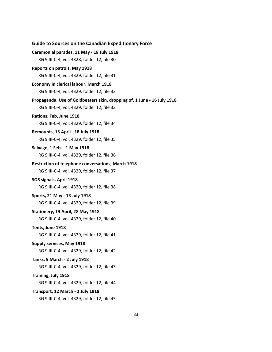| <b>Guide to Sources on the Canadian Expeditionary Force</b>                                                            |
|------------------------------------------------------------------------------------------------------------------------|
| Ceremonial parades, 11 May - 18 July 1918                                                                              |
| RG 9 III-C-4, vol. 4328, folder 12, file 30                                                                            |
| Reports on patrols, May 1918                                                                                           |
| RG 9 III-C-4, vol. 4329, folder 12, file 31                                                                            |
| Economy in clerical labour, March 1918                                                                                 |
| RG 9 III-C-4, vol. 4329, folder 12, file 32                                                                            |
| Propaganda. Use of Goldbeaters skin, dropping of, 1 June - 16 July 1918<br>RG 9 III-C-4, vol. 4329, folder 12, file 33 |
| Rations, Feb, June 1918                                                                                                |
| RG 9 III-C-4, vol. 4329, folder 12, file 34                                                                            |
| Remounts, 13 April - 18 July 1918                                                                                      |
| RG 9 III-C-4, vol. 4329, folder 12, file 35                                                                            |
| Salvage, 1 Feb. - 1 May 1918                                                                                           |
| RG 9 III-C-4, vol. 4329, folder 12, file 36                                                                            |
| <b>Restriction of telephone conversations, March 1918</b>                                                              |
| RG 9 III-C-4, vol. 4329, folder 12, file 37                                                                            |
| SOS signals, April 1918                                                                                                |
| RG 9 III-C-4, vol. 4329, folder 12, file 38                                                                            |
| Sports, 21 May - 13 July 1918                                                                                          |
| RG 9 III-C-4, vol. 4329, folder 12, file 39                                                                            |
| Stationery, 13 April, 28 May 1918                                                                                      |
| RG 9 III-C-4, vol. 4329, folder 12, file 40                                                                            |
| Tents, June 1918<br>RG 9 III-C-4, vol. 4329, folder 12, file 41                                                        |
| Supply services, May 1918                                                                                              |
| RG 9 III-C-4, vol. 4329, folder 12, file 42                                                                            |
| Tanks, 9 March - 2 July 1918                                                                                           |
| RG 9 III-C-4, vol. 4329, folder 12, file 43                                                                            |
| Training, July 1918                                                                                                    |
| RG 9 III-C-4, vol. 4329, folder 12, file 44                                                                            |
| Transport, 12 March - 2 July 1918                                                                                      |
| RG 9 III-C-4, vol. 4329, folder 12, file 45                                                                            |
|                                                                                                                        |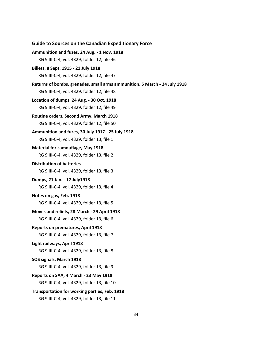```
Ammunition and fuzes, 24 Aug. - 1 Nov. 1918
   RG 9 III-C-4, vol. 4329, folder 12, file 46
Billets, 8 Sept. 1915 - 21 July 1918
   RG 9 III-C-4, vol. 4329, folder 12, file 47
Returns of bombs, grenades, small arms ammunition, 5 March - 24 July 1918
   RG 9 III-C-4, vol. 4329, folder 12, file 48
Location of dumps, 24 Aug. - 30 Oct. 1918
   RG 9 III-C-4, vol. 4329, folder 12, file 49
Routine orders, Second Army, March 1918
   RG 9 III-C-4, vol. 4329, folder 12, file 50
Ammunition and fuzes, 30 July 1917 - 25 July 1918
   RG 9 III-C-4, vol. 4329, folder 13, file 1
Material for camouflage, May 1918
   RG 9 III-C-4, vol. 4329, folder 13, file 2
Distribution of batteries
   RG 9 III-C-4, vol. 4329, folder 13, file 3
Dumps, 21 Jan. - 17 July1918
   RG 9 III-C-4, vol. 4329, folder 13, file 4
Notes on gas, Feb. 1918
   RG 9 III-C-4, vol. 4329, folder 13, file 5
Moves and reliefs, 28 March - 29 April 1918
   RG 9 III-C-4, vol. 4329, folder 13, file 6
Reports on prematures, April 1918
   RG 9 III-C-4, vol. 4329, folder 13, file 7
Light railways, April 1918
   RG 9 III-C-4, vol. 4329, folder 13, file 8
SOS signals, March 1918
   RG 9 III-C-4, vol. 4329, folder 13, file 9
Reports on SAA, 4 March - 23 May 1918
   RG 9 III-C-4, vol. 4329, folder 13, file 10
Transportation for working parties, Feb. 1918
   RG 9 III-C-4, vol. 4329, folder 13, file 11
```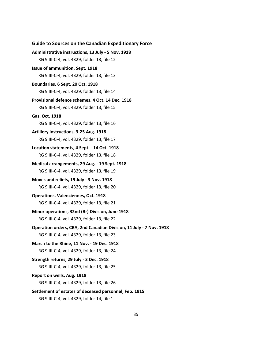| <b>Guide to Sources on the Canadian Expeditionary Force</b>                                     |
|-------------------------------------------------------------------------------------------------|
| Administrative instructions, 13 July - 5 Nov. 1918                                              |
| RG 9 III-C-4, vol. 4329, folder 13, file 12                                                     |
| Issue of ammunition, Sept. 1918                                                                 |
| RG 9 III-C-4, vol. 4329, folder 13, file 13                                                     |
| Boundaries, 6 Sept, 20 Oct. 1918                                                                |
| RG 9 III-C-4, vol. 4329, folder 13, file 14                                                     |
| Provisional defence schemes, 4 Oct, 14 Dec. 1918<br>RG 9 III-C-4, vol. 4329, folder 13, file 15 |
| Gas, Oct. 1918                                                                                  |
| RG 9 III-C-4, vol. 4329, folder 13, file 16                                                     |
| Artillery instructions, 3-25 Aug. 1918                                                          |
| RG 9 III-C-4, vol. 4329, folder 13, file 17                                                     |
| Location statements, 4 Sept. - 14 Oct. 1918                                                     |
| RG 9 III-C-4, vol. 4329, folder 13, file 18                                                     |
| Medical arrangements, 29 Aug. - 19 Sept. 1918                                                   |
| RG 9 III-C-4, vol. 4329, folder 13, file 19                                                     |
| Moves and reliefs, 19 July - 3 Nov. 1918                                                        |
| RG 9 III-C-4, vol. 4329, folder 13, file 20                                                     |
| <b>Operations. Valenciennes, Oct. 1918</b>                                                      |
| RG 9 III-C-4, vol. 4329, folder 13, file 21                                                     |
| Minor operations, 32nd (Br) Division, June 1918                                                 |
| RG 9 III-C-4, vol. 4329, folder 13, file 22                                                     |
| Operation orders, CRA, 2nd Canadian Division, 11 July - 7 Nov. 1918                             |
| RG 9 III-C-4, vol. 4329, folder 13, file 23                                                     |
| March to the Rhine, 11 Nov. - 19 Dec. 1918                                                      |
| RG 9 III-C-4, vol. 4329, folder 13, file 24                                                     |
| Strength returns, 29 July - 3 Dec. 1918                                                         |
| RG 9 III-C-4, vol. 4329, folder 13, file 25                                                     |
| Report on wells, Aug. 1918<br>RG 9 III-C-4, vol. 4329, folder 13, file 26                       |
| Settlement of estates of deceased personnel, Feb. 1915                                          |
| RG 9 III-C-4, vol. 4329, folder 14, file 1                                                      |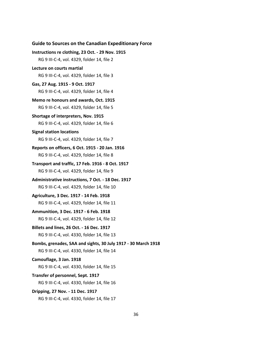# **Guide to Sources on the Canadian Expeditionary Force Instructions re clothing, 23 Oct. - 29 Nov. 1915** RG 9 III-C-4, vol. 4329, folder 14, file 2 **Lecture on courts martial** RG 9 III-C-4, vol. 4329, folder 14, file 3 **Gas, 27 Aug. 1915 - 9 Oct. 1917** RG 9 III-C-4, vol. 4329, folder 14, file 4 **Memo re honours and awards, Oct. 1915** RG 9 III-C-4, vol. 4329, folder 14, file 5 **Shortage of interpreters, Nov. 1915** RG 9 III-C-4, vol. 4329, folder 14, file 6 **Signal station locations** RG 9 III-C-4, vol. 4329, folder 14, file 7 **Reports on officers, 6 Oct. 1915 - 20 Jan. 1916** RG 9 III-C-4, vol. 4329, folder 14, file 8 **Transport and traffic, 17 Feb. 1916 - 8 Oct. 1917** RG 9 III-C-4, vol. 4329, folder 14, file 9 **Administrative instructions, 7 Oct. - 18 Dec. 1917** RG 9 III-C-4, vol. 4329, folder 14, file 10 **Agriculture, 3 Dec. 1917 - 14 Feb. 1918** RG 9 III-C-4, vol. 4329, folder 14, file 11 **Ammunition, 3 Dec. 1917 - 6 Feb. 1918** RG 9 III-C-4, vol. 4329, folder 14, file 12 **Billets and lines, 26 Oct. - 16 Dec. 1917** RG 9 III-C-4, vol. 4330, folder 14, file 13 **Bombs, grenades, SAA and sights, 30 July 1917 - 30 March 1918** RG 9 III-C-4, vol. 4330, folder 14, file 14 **Camouflage, 3 Jan. 1918** RG 9 III-C-4, vol. 4330, folder 14, file 15 **Transfer of personnel, Sept. 1917** RG 9 III-C-4, vol. 4330, folder 14, file 16 **Dripping, 27 Nov. - 11 Dec. 1917**

RG 9 III-C-4, vol. 4330, folder 14, file 17

#### 36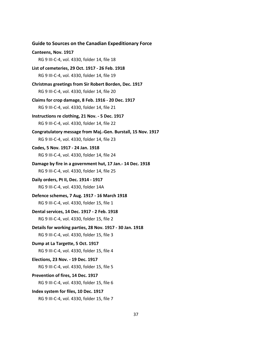**Guide to Sources on the Canadian Expeditionary Force Canteens, Nov. 1917** RG 9 III-C-4, vol. 4330, folder 14, file 18 **List of cemeteries, 29 Oct. 1917 - 26 Feb. 1918** RG 9 III-C-4, vol. 4330, folder 14, file 19 **Christmas greetings from Sir Robert Borden, Dec. 1917** RG 9 III-C-4, vol. 4330, folder 14, file 20 **Claims for crop damage, 8 Feb. 1916 - 20 Dec. 1917** RG 9 III-C-4, vol. 4330, folder 14, file 21 **Instructions re clothing, 21 Nov. - 5 Dec. 1917** RG 9 III-C-4, vol. 4330, folder 14, file 22 **Congratulatory message from Maj.-Gen. Burstall, 15 Nov. 1917** RG 9 III-C-4, vol. 4330, folder 14, file 23 **Codes, 5 Nov. 1917 - 24 Jan. 1918** RG 9 III-C-4, vol. 4330, folder 14, file 24 **Damage by fire in a government hut, 17 Jan.- 14 Dec. 1918**  RG 9 III-C-4, vol. 4330, folder 14, file 25 **Daily orders, Pt II, Dec. 1914 - 1917** RG 9 III-C-4, vol. 4330, folder 14A **Defence schemes, 7 Aug. 1917 - 16 March 1918** RG 9 III-C-4, vol. 4330, folder 15, file 1 **Dental services, 14 Dec. 1917 - 2 Feb. 1918** RG 9 III-C-4, vol. 4330, folder 15, file 2 **Details for working parties, 28 Nov. 1917 - 30 Jan. 1918** RG 9 III-C-4, vol. 4330, folder 15, file 3 **Dump at La Targette, 5 Oct. 1917** RG 9 III-C-4, vol. 4330, folder 15, file 4 **Elections, 23 Nov. - 19 Dec. 1917** RG 9 III-C-4, vol. 4330, folder 15, file 5 **Prevention of fires, 14 Dec. 1917** RG 9 III-C-4, vol. 4330, folder 15, file 6 **Index system for files, 10 Dec. 1917** RG 9 III-C-4, vol. 4330, folder 15, file 7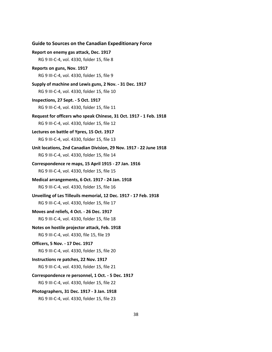**Guide to Sources on the Canadian Expeditionary Force Report on enemy gas attack, Dec. 1917** RG 9 III-C-4, vol. 4330, folder 15, file 8 **Reports on guns, Nov. 1917** RG 9 III-C-4, vol. 4330, folder 15, file 9 **Supply of machine and Lewis guns, 2 Nov. - 31 Dec. 1917** RG 9 III-C-4, vol. 4330, folder 15, file 10 **Inspections, 27 Sept. - 5 Oct. 1917** RG 9 III-C-4, vol. 4330, folder 15, file 11 **Request for officers who speak Chinese, 31 Oct. 1917 - 1 Feb. 1918** RG 9 III-C-4, vol. 4330, folder 15, file 12 **Lectures on battle of Ypres, 15 Oct. 1917** RG 9 III-C-4, vol. 4330, folder 15, file 13 **Unit locations, 2nd Canadian Division, 29 Nov. 1917 - 22 June 1918** RG 9 III-C-4, vol. 4330, folder 15, file 14 **Correspondence re maps, 15 April 1915 - 27 Jan. 1916** RG 9 III-C-4, vol. 4330, folder 15, file 15 **Medical arrangements, 6 Oct. 1917 - 24 Jan. 1918** RG 9 III-C-4, vol. 4330, folder 15, file 16 **Unveiling of Les Tilleuils memorial, 12 Dec. 1917 - 17 Feb. 1918** RG 9 III-C-4, vol. 4330, folder 15, file 17 **Moves and reliefs, 4 Oct. - 26 Dec. 1917** RG 9 III-C-4, vol. 4330, folder 15, file 18 **Notes on hostile projector attack, Feb. 1918** RG 9 III-C-4, vol. 4330, file 15, file 19 **Officers, 5 Nov. - 17 Dec. 1917** RG 9 III-C-4, vol. 4330, folder 15, file 20 **Instructions re patches, 22 Nov. 1917** RG 9 III-C-4, vol. 4330, folder 15, file 21 **Correspondence re personnel, 1 Oct. - 5 Dec. 1917** RG 9 III-C-4, vol. 4330, folder 15, file 22 **Photographers, 31 Dec. 1917 - 3 Jan. 1918** RG 9 III-C-4, vol. 4330, folder 15, file 23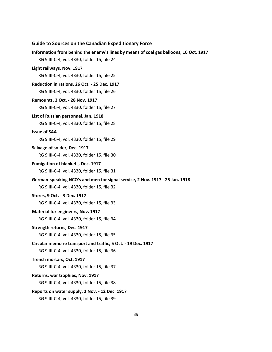**Information from behind the enemy's lines by means of coal gas balloons, 10 Oct. 1917** RG 9 III-C-4, vol. 4330, folder 15, file 24 **Light railways, Nov. 1917** RG 9 III-C-4, vol. 4330, folder 15, file 25 **Reduction in rations, 26 Oct. - 25 Dec. 1917** RG 9 III-C-4, vol. 4330, folder 15, file 26 **Remounts, 3 Oct. - 28 Nov. 1917** RG 9 III-C-4, vol. 4330, folder 15, file 27 **List of Russian personnel, Jan. 1918** RG 9 III-C-4, vol. 4330, folder 15, file 28 **Issue of SAA** RG 9 III-C-4, vol. 4330, folder 15, file 29 **Salvage of solder, Dec. 1917** RG 9 III-C-4, vol. 4330, folder 15, file 30 **Fumigation of blankets, Dec. 1917** RG 9 III-C-4, vol. 4330, folder 15, file 31 **German-speaking NCO's and men for signal service, 2 Nov. 1917 - 25 Jan. 1918** RG 9 III-C-4, vol. 4330, folder 15, file 32 **Stores, 9 Oct. - 3 Dec. 1917** RG 9 III-C-4, vol. 4330, folder 15, file 33 **Material for engineers, Nov. 1917** RG 9 III-C-4, vol. 4330, folder 15, file 34 **Strength returns, Dec. 1917** RG 9 III-C-4, vol. 4330, folder 15, file 35 **Circular memo re transport and traffic, 5 Oct. - 19 Dec. 1917** RG 9 III-C-4, vol. 4330, folder 15, file 36 **Trench mortars, Oct. 1917** RG 9 III-C-4, vol. 4330, folder 15, file 37 **Returns, war trophies, Nov. 1917** RG 9 III-C-4, vol. 4330, folder 15, file 38 **Reports on water supply, 2 Nov. - 12 Dec. 1917** RG 9 III-C-4, vol. 4330, folder 15, file 39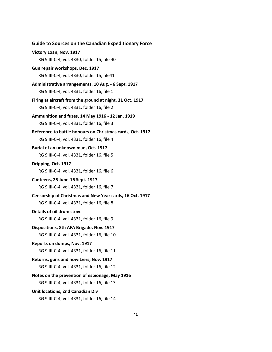| <b>Guide to Sources on the Canadian Expeditionary Force</b>                                             |
|---------------------------------------------------------------------------------------------------------|
| Victory Loan, Nov. 1917                                                                                 |
| RG 9 III-C-4, vol. 4330, folder 15, file 40                                                             |
| Gun repair workshops, Dec. 1917                                                                         |
| RG 9 III-C-4, vol. 4330, folder 15, file41                                                              |
| Administrative arrangements, 10 Aug. - 6 Sept. 1917                                                     |
| RG 9 III-C-4, vol. 4331, folder 16, file 1                                                              |
| Firing at aircraft from the ground at night, 31 Oct. 1917<br>RG 9 III-C-4, vol. 4331, folder 16, file 2 |
| Ammunition and fuzes, 14 May 1916 - 12 Jan. 1919                                                        |
| RG 9 III-C-4, vol. 4331, folder 16, file 3                                                              |
| Reference to battle honours on Christmas cards, Oct. 1917                                               |
| RG 9 III-C-4, vol. 4331, folder 16, file 4                                                              |
| Burial of an unknown man, Oct. 1917                                                                     |
| RG 9 III-C-4, vol. 4331, folder 16, file 5                                                              |
| Dripping, Oct. 1917                                                                                     |
| RG 9 III-C-4, vol. 4331, folder 16, file 6                                                              |
| Canteens, 25 June-16 Sept. 1917                                                                         |
| RG 9 III-C-4, vol. 4331, folder 16, file 7                                                              |
| Censorship of Christmas and New Year cards, 16 Oct. 1917                                                |
| RG 9 III-C-4, vol. 4331, folder 16, file 8                                                              |
| Details of oil drum stove                                                                               |
| RG 9 III-C-4, vol. 4331, folder 16, file 9                                                              |
| Dispositions, 8th AFA Brigade, Nov. 1917                                                                |
| RG 9 III-C-4, vol. 4331, folder 16, file 10                                                             |
| Reports on dumps, Nov. 1917                                                                             |
| RG 9 III-C-4, vol. 4331, folder 16, file 11                                                             |
| Returns, guns and howitzers, Nov. 1917                                                                  |
| RG 9 III-C-4, vol. 4331, folder 16, file 12                                                             |
| Notes on the prevention of espionage, May 1916                                                          |
| RG 9 III-C-4, vol. 4331, folder 16, file 13                                                             |
| Unit locations, 2nd Canadian Div                                                                        |
| RG 9 III-C-4, vol. 4331, folder 16, file 14                                                             |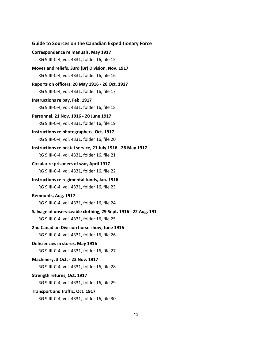```
Guide to Sources on the Canadian Expeditionary Force
Correspondence re manuals, May 1917
   RG 9 III-C-4, vol. 4331, folder 16, file 15
Moves and reliefs, 33rd (Br) Division, Nov. 1917
   RG 9 III-C-4, vol. 4331, folder 16, file 16
Reports on officers, 20 May 1916 - 26 Oct. 1917
   RG 9 III-C-4, vol. 4331, folder 16, file 17
Instructions re pay, Feb. 1917
   RG 9 III-C-4, vol. 4331, folder 16, file 18
Personnel, 21 Nov. 1916 - 20 June 1917
   RG 9 III-C-4, vol. 4331, folder 16, file 19
Instructions re photographers, Oct. 1917
   RG 9 III-C-4, vol. 4331, folder 16, file 20
Instructions re postal service, 21 July 1916 - 26 May 1917
   RG 9 III-C-4, vol. 4331, folder 16, file 21
Circular re prisoners of war, April 1917
   RG 9 III-C-4, vol. 4331, folder 16, file 22
Instructions re regimental funds, Jan. 1916
   RG 9 III-C-4, vol. 4331, folder 16, file 23
Remounts, Aug. 1917
   RG 9 III-C-4, vol. 4331, folder 16, file 24
Salvage of unserviceable clothing, 29 Sept. 1916 - 22 Aug. 191 
   RG 9 III-C-4, vol. 4331, folder 16, file 25
2nd Canadian Division horse show, June 1916
   RG 9 III-C-4, vol. 4331, folder 16, file 26
Deficiencies in stores, May 1916
   RG 9 III-C-4, vol. 4331, folder 16, file 27
Machinery, 3 Oct. - 23 Nov. 1917
   RG 9 III-C-4, vol. 4331, folder 16, file 28
Strength returns, Oct. 1917
   RG 9 III-C-4, vol. 4331, folder 16, file 29
Transport and traffic, Oct. 1917
   RG 9 III-C-4, vol. 4331, folder 16, file 30
```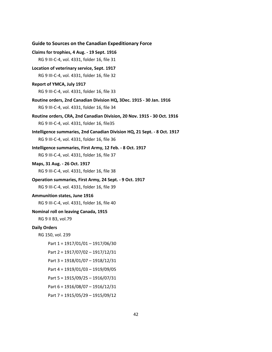| <b>Guide to Sources on the Canadian Expeditionary Force</b>                                                           |
|-----------------------------------------------------------------------------------------------------------------------|
| Claims for trophies, 4 Aug. - 19 Sept. 1916                                                                           |
| RG 9 III-C-4, vol. 4331, folder 16, file 31                                                                           |
| Location of veterinary service, Sept. 1917                                                                            |
| RG 9 III-C-4, vol. 4331, folder 16, file 32                                                                           |
| Report of YMCA, July 1917                                                                                             |
| RG 9 III-C-4, vol. 4331, folder 16, file 33                                                                           |
| Routine orders, 2nd Canadian Division HQ, 3Dec. 1915 - 30 Jan. 1916<br>RG 9 III-C-4, vol. 4331, folder 16, file 34    |
| Routine orders, CRA, 2nd Canadian Division, 20 Nov. 1915 - 30 Oct. 1916<br>RG 9 III-C-4, vol. 4331, folder 16, file35 |
| Intelligence summaries, 2nd Canadian Division HQ, 21 Sept. - 8 Oct. 1917                                              |
| RG 9 III-C-4, vol. 4331, folder 16, file 36                                                                           |
| Intelligence summaries, First Army, 12 Feb. - 8 Oct. 1917                                                             |
| RG 9 III-C-4, vol. 4331, folder 16, file 37                                                                           |
| Maps, 31 Aug. - 26 Oct. 1917                                                                                          |
| RG 9 III-C-4, vol. 4331, folder 16, file 38                                                                           |
| Operation summaries, First Army, 24 Sept. - 9 Oct. 1917                                                               |
| RG 9 III-C-4, vol. 4331, folder 16, file 39                                                                           |
| <b>Ammunition states, June 1916</b>                                                                                   |
| RG 9 III-C-4, vol. 4331, folder 16, file 40                                                                           |
| Nominal roll on leaving Canada, 1915<br>RG 9 II B3, vol.79                                                            |
| <b>Daily Orders</b>                                                                                                   |
| RG 150, vol. 239                                                                                                      |
| Part 1 = 1917/01/01 - 1917/06/30                                                                                      |
| Part 2 = 1917/07/02 - 1917/12/31                                                                                      |
| Part 3 = 1918/01/07 - 1918/12/31                                                                                      |
| Part 4 = 1919/01/03 - 1919/09/05                                                                                      |
| Part 5 = 1915/09/25 - 1916/07/31                                                                                      |
| Part 6 = 1916/08/07 - 1916/12/31                                                                                      |
| Part 7 = 1915/05/29 - 1915/09/12                                                                                      |
|                                                                                                                       |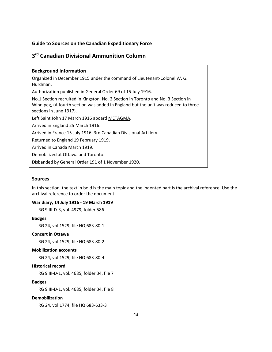# <span id="page-44-0"></span>**3 rd Canadian Divisional Ammunition Column**

| <b>Background Information</b>                                                                                                                                                                      |
|----------------------------------------------------------------------------------------------------------------------------------------------------------------------------------------------------|
| Organized in December 1915 under the command of Lieutenant-Colonel W. G.<br>Hurdman.                                                                                                               |
| Authorization published in General Order 69 of 15 July 1916.                                                                                                                                       |
| No.1 Section recruited in Kingston, No. 2 Section in Toronto and No. 3 Section in<br>Winnipeg, (A fourth section was added in England but the unit was reduced to three<br>sections in June 1917). |
| Left Saint John 17 March 1916 aboard METAGMA.                                                                                                                                                      |
| Arrived in England 25 March 1916.                                                                                                                                                                  |
| Arrived in France 15 July 1916. 3rd Canadian Divisional Artillery.                                                                                                                                 |
| Returned to England 19 February 1919.                                                                                                                                                              |
| Arrived in Canada March 1919.                                                                                                                                                                      |
| Demobilized at Ottawa and Toronto.                                                                                                                                                                 |
| Disbanded by General Order 191 of 1 November 1920.                                                                                                                                                 |

# **Sources**

In this section, the text in bold is the main topic and the indented part is the archival reference. Use the archival reference to order the document.

# **War diary, 14 July 1916 - 19 March 1919**

RG 9 III-D-3, vol. 4979, folder 586

# **Badges**

RG 24, vol.1529, file HQ 683-80-1

## **Concert in Ottawa**

RG 24, vol.1529, file HQ 683-80-2

## **Mobilization accounts**

RG 24, vol.1529, file HQ 683-80-4

## **Historical record**

RG 9 III-D-1, vol. 4685, folder 34, file 7

# **Badges**

RG 9 III-D-1, vol. 4685, folder 34, file 8

# **Demobilization**

RG 24, vol.1774, file HQ 683-633-3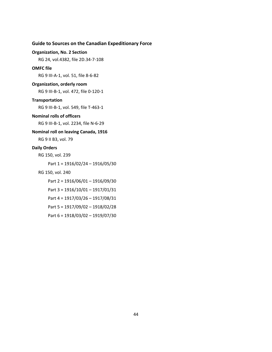## **Organization, No. 2 Section**

RG 24, vol.4382, file 2D.34-7-108

#### **OMFC file**

RG 9 III-A-1, vol. 51, file 8-6-82

#### **Organization, orderly room**

RG 9 III-B-1, vol. 472, file 0-120-1

## **Transportation**

RG 9 III-B-1, vol. 549, file T-463-1

### **Nominal rolls of officers**

RG 9 III-B-1, vol. 2234, file N-6-29

# **Nominal roll on leaving Canada, 1916**

RG 9 II B3, vol. 79

#### **Daily Orders**

RG 150, vol. 239

Part 1 = 1916/02/24 – 1916/05/30

## RG 150, vol. 240

Part 2 = 1916/06/01 – 1916/09/30

- Part 3 = 1916/10/01 1917/01/31
- Part 4 = 1917/03/26 1917/08/31
- Part 5 = 1917/09/02 1918/02/28
- Part 6 = 1918/03/02 1919/07/30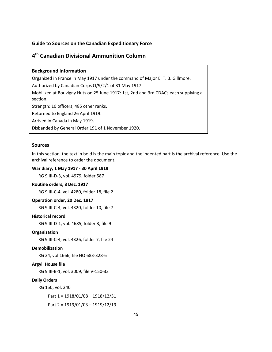# <span id="page-46-0"></span>**4 th Canadian Divisional Ammunition Column**

# **Background Information**

Organized in France in May 1917 under the command of Major E. T. B. Gillmore.

Authorized by Canadian Corps Q/9/2/1 of 31 May 1917.

Mobilized at Bouvigny Huts on 25 June 1917: 1st, 2nd and 3rd CDACs each supplying a section.

Strength: 10 officers, 485 other ranks.

Returned to England 26 April 1919.

Arrived in Canada in May 1919.

Disbanded by General Order 191 of 1 November 1920.

## **Sources**

In this section, the text in bold is the main topic and the indented part is the archival reference. Use the archival reference to order the document.

### **War diary, 1 May 1917 - 30 April 1919**

RG 9 III-D-3, vol. 4979, folder 587

#### **Routine orders, 8 Dec. 1917**

RG 9 III-C-4, vol. 4280, folder 18, file 2

## **Operation order, 20 Dec. 1917**

RG 9 III-C-4, vol. 4320, folder 10, file 7

# **Historical record**

RG 9 III-D-1, vol. 4685, folder 3, file 9

## **Organization**

RG 9 III-C-4, vol. 4326, folder 7, file 24

### **Demobilization**

RG 24, vol.1666, file HQ 683-328-6

# **Argyll House file**

RG 9 III-B-1, vol. 3009, file V-150-33

#### **Daily Orders**

RG 150, vol. 240

Part 1 = 1918/01/08 – 1918/12/31

Part 2 = 1919/01/03 – 1919/12/19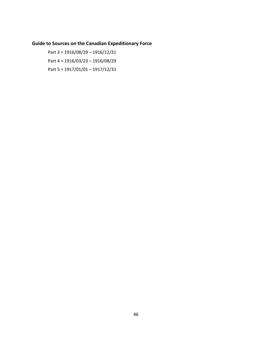Part 3 = 1916/08/29 – 1916/12/31 Part 4 = 1916/03/23 – 1916/08/29 Part 5 = 1917/01/01 – 1917/12/31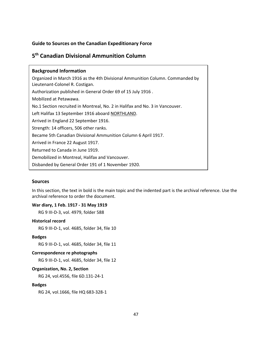# <span id="page-48-0"></span>**5 th Canadian Divisional Ammunition Column**

| <b>Background Information</b>                                                                                    |
|------------------------------------------------------------------------------------------------------------------|
| Organized in March 1916 as the 4th Divisional Ammunition Column. Commanded by<br>Lieutenant-Colonel R. Costigan. |
| Authorization published in General Order 69 of 15 July 1916.                                                     |
| Mobilized at Petawawa.                                                                                           |
| No.1 Section recruited in Montreal, No. 2 in Halifax and No. 3 in Vancouver.                                     |
| Left Halifax 13 September 1916 aboard NORTHLAND.                                                                 |
| Arrived in England 22 September 1916.                                                                            |
| Strength: 14 officers, 506 other ranks.                                                                          |
| Became 5th Canadian Divisional Ammunition Column 6 April 1917.                                                   |
| Arrived in France 22 August 1917.                                                                                |
| Returned to Canada in June 1919.                                                                                 |
| Demobilized in Montreal, Halifax and Vancouver.                                                                  |
| Disbanded by General Order 191 of 1 November 1920.                                                               |

# **Sources**

In this section, the text in bold is the main topic and the indented part is the archival reference. Use the archival reference to order the document.

# **War diary, 1 Feb. 1917 - 31 May 1919**

RG 9 III-D-3, vol. 4979, folder 588

# **Historical record**

RG 9 III-D-1, vol. 4685, folder 34, file 10

# **Badges**

RG 9 III-D-1, vol. 4685, folder 34, file 11

# **Correspondence re photographs**

RG 9 III-D-1, vol. 4685, folder 34, file 12

# **Organization, No. 2, Section**

RG 24, vol.4556, file 6D.131-24-1

# **Badges**

RG 24, vol.1666, file HQ 683-328-1